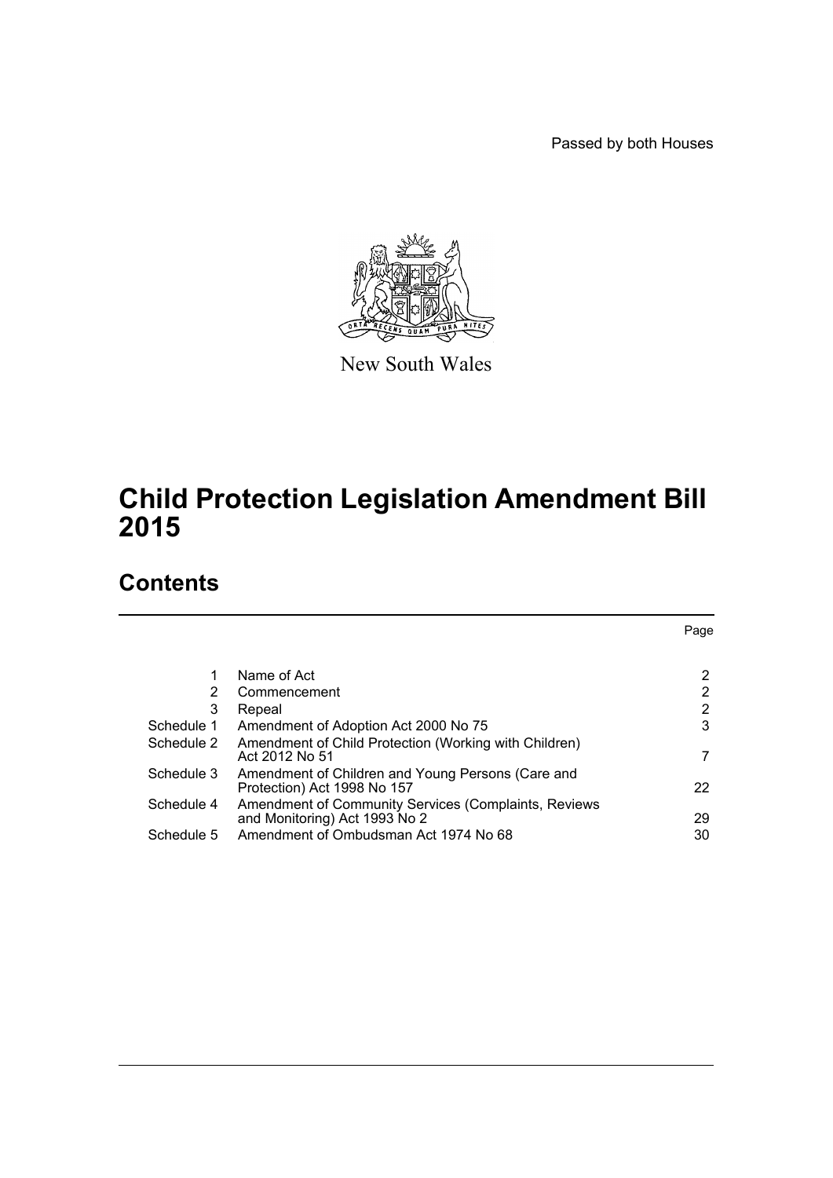Passed by both Houses



New South Wales

# **Child Protection Legislation Amendment Bill 2015**

# **Contents**

|            |                                                                                       | Page |
|------------|---------------------------------------------------------------------------------------|------|
|            |                                                                                       |      |
| 1          | Name of Act                                                                           | 2    |
| 2          | Commencement                                                                          | 2    |
| 3          | Repeal                                                                                | 2    |
| Schedule 1 | Amendment of Adoption Act 2000 No 75                                                  | 3    |
| Schedule 2 | Amendment of Child Protection (Working with Children)<br>Act 2012 No 51               | 7    |
| Schedule 3 | Amendment of Children and Young Persons (Care and<br>Protection) Act 1998 No 157      | 22   |
| Schedule 4 | Amendment of Community Services (Complaints, Reviews<br>and Monitoring) Act 1993 No 2 | 29   |
| Schedule 5 | Amendment of Ombudsman Act 1974 No 68                                                 | 30   |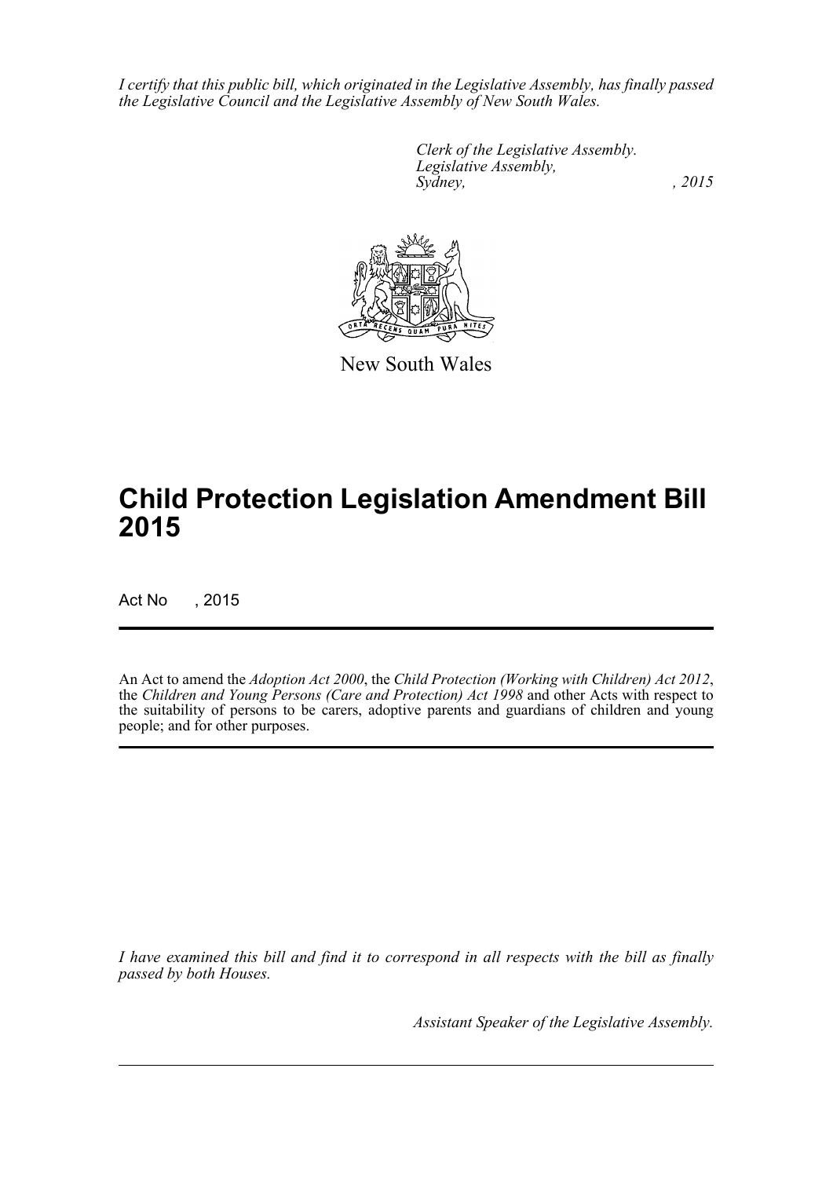*I certify that this public bill, which originated in the Legislative Assembly, has finally passed the Legislative Council and the Legislative Assembly of New South Wales.*

> *Clerk of the Legislative Assembly. Legislative Assembly, Sydney,* , 2015



New South Wales

# **Child Protection Legislation Amendment Bill 2015**

Act No , 2015

An Act to amend the *Adoption Act 2000*, the *Child Protection (Working with Children) Act 2012*, the *Children and Young Persons (Care and Protection) Act 1998* and other Acts with respect to the suitability of persons to be carers, adoptive parents and guardians of children and young people; and for other purposes.

*I have examined this bill and find it to correspond in all respects with the bill as finally passed by both Houses.*

*Assistant Speaker of the Legislative Assembly.*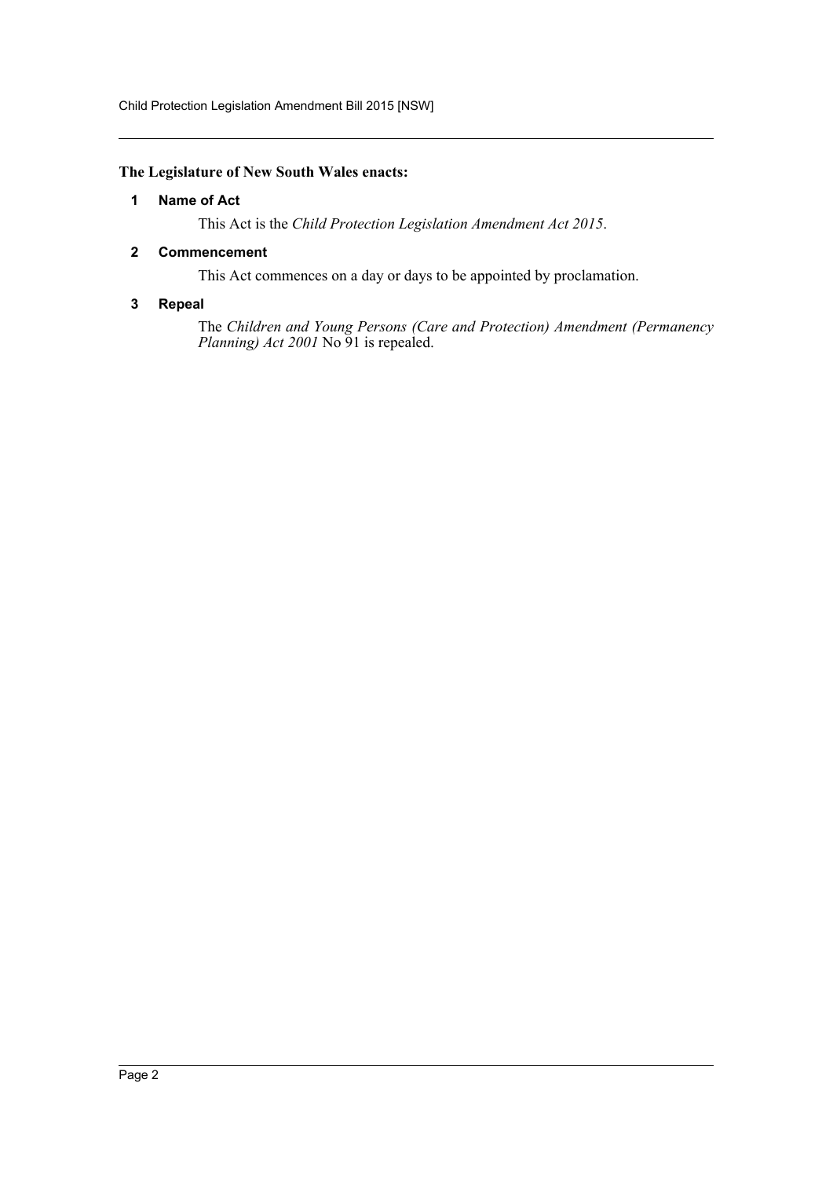Child Protection Legislation Amendment Bill 2015 [NSW]

### <span id="page-2-0"></span>**The Legislature of New South Wales enacts:**

### **1 Name of Act**

This Act is the *Child Protection Legislation Amendment Act 2015*.

### <span id="page-2-1"></span>**2 Commencement**

This Act commences on a day or days to be appointed by proclamation.

### <span id="page-2-2"></span>**3 Repeal**

The *Children and Young Persons (Care and Protection) Amendment (Permanency Planning) Act 2001* No 91 is repealed.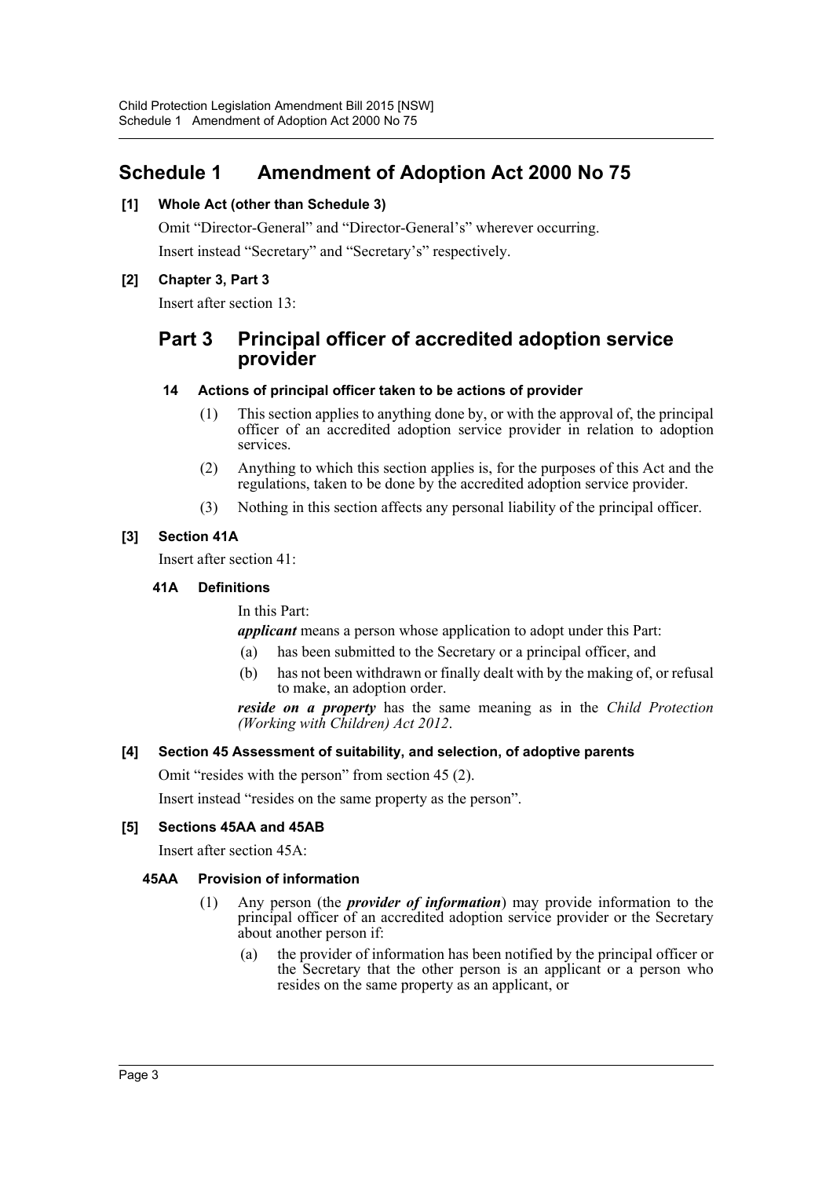## <span id="page-3-0"></span>**Schedule 1 Amendment of Adoption Act 2000 No 75**

### **[1] Whole Act (other than Schedule 3)**

Omit "Director-General" and "Director-General's" wherever occurring. Insert instead "Secretary" and "Secretary's" respectively.

### **[2] Chapter 3, Part 3**

Insert after section 13:

### **Part 3 Principal officer of accredited adoption service provider**

### **14 Actions of principal officer taken to be actions of provider**

- (1) This section applies to anything done by, or with the approval of, the principal officer of an accredited adoption service provider in relation to adoption services.
- (2) Anything to which this section applies is, for the purposes of this Act and the regulations, taken to be done by the accredited adoption service provider.
- (3) Nothing in this section affects any personal liability of the principal officer.

### **[3] Section 41A**

Insert after section 41:

### **41A Definitions**

In this Part:

*applicant* means a person whose application to adopt under this Part:

- (a) has been submitted to the Secretary or a principal officer, and
- (b) has not been withdrawn or finally dealt with by the making of, or refusal to make, an adoption order.

*reside on a property* has the same meaning as in the *Child Protection (Working with Children) Act 2012*.

### **[4] Section 45 Assessment of suitability, and selection, of adoptive parents**

Omit "resides with the person" from section 45 (2).

Insert instead "resides on the same property as the person".

### **[5] Sections 45AA and 45AB**

Insert after section 45A:

### **45AA Provision of information**

- (1) Any person (the *provider of information*) may provide information to the principal officer of an accredited adoption service provider or the Secretary about another person if:
	- (a) the provider of information has been notified by the principal officer or the Secretary that the other person is an applicant or a person who resides on the same property as an applicant, or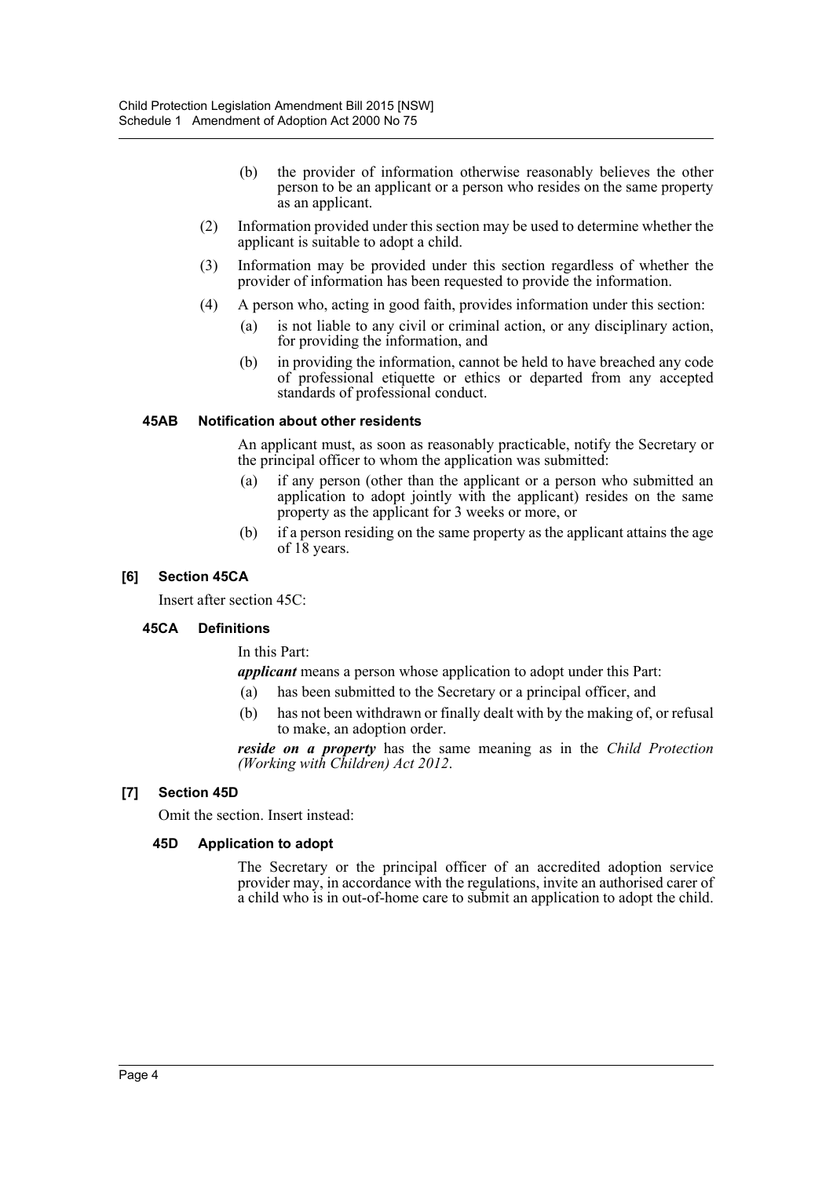- (b) the provider of information otherwise reasonably believes the other person to be an applicant or a person who resides on the same property as an applicant.
- (2) Information provided under this section may be used to determine whether the applicant is suitable to adopt a child.
- (3) Information may be provided under this section regardless of whether the provider of information has been requested to provide the information.
- (4) A person who, acting in good faith, provides information under this section:
	- (a) is not liable to any civil or criminal action, or any disciplinary action, for providing the information, and
	- (b) in providing the information, cannot be held to have breached any code of professional etiquette or ethics or departed from any accepted standards of professional conduct.

### **45AB Notification about other residents**

An applicant must, as soon as reasonably practicable, notify the Secretary or the principal officer to whom the application was submitted:

- (a) if any person (other than the applicant or a person who submitted an application to adopt jointly with the applicant) resides on the same property as the applicant for 3 weeks or more, or
- (b) if a person residing on the same property as the applicant attains the age of 18 years.

### **[6] Section 45CA**

Insert after section 45C:

### **45CA Definitions**

In this Part:

*applicant* means a person whose application to adopt under this Part:

- (a) has been submitted to the Secretary or a principal officer, and
- (b) has not been withdrawn or finally dealt with by the making of, or refusal to make, an adoption order.

*reside on a property* has the same meaning as in the *Child Protection (Working with Children) Act 2012*.

### **[7] Section 45D**

Omit the section. Insert instead:

### **45D Application to adopt**

The Secretary or the principal officer of an accredited adoption service provider may, in accordance with the regulations, invite an authorised carer of a child who is in out-of-home care to submit an application to adopt the child.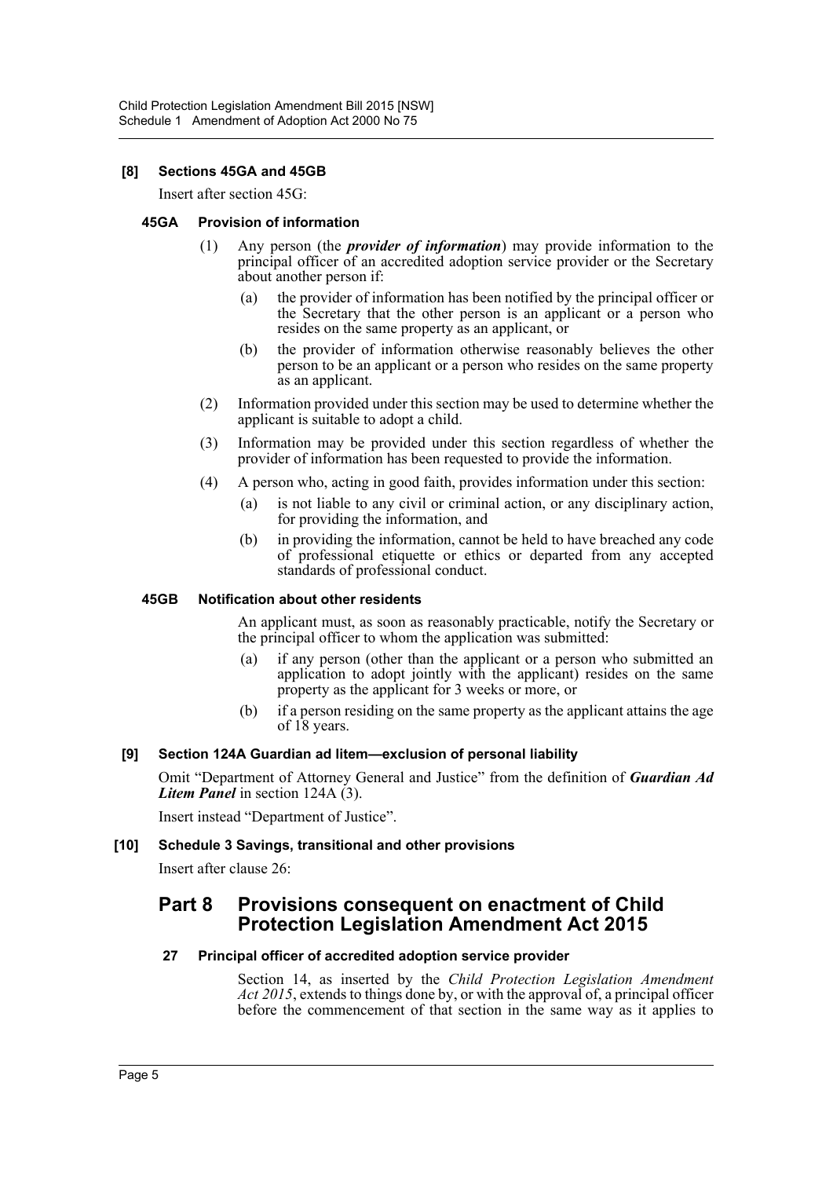### **[8] Sections 45GA and 45GB**

Insert after section 45G:

### **45GA Provision of information**

- (1) Any person (the *provider of information*) may provide information to the principal officer of an accredited adoption service provider or the Secretary about another person if:
	- (a) the provider of information has been notified by the principal officer or the Secretary that the other person is an applicant or a person who resides on the same property as an applicant, or
	- (b) the provider of information otherwise reasonably believes the other person to be an applicant or a person who resides on the same property as an applicant.
- (2) Information provided under this section may be used to determine whether the applicant is suitable to adopt a child.
- (3) Information may be provided under this section regardless of whether the provider of information has been requested to provide the information.
- (4) A person who, acting in good faith, provides information under this section:
	- (a) is not liable to any civil or criminal action, or any disciplinary action, for providing the information, and
	- (b) in providing the information, cannot be held to have breached any code of professional etiquette or ethics or departed from any accepted standards of professional conduct.

### **45GB Notification about other residents**

An applicant must, as soon as reasonably practicable, notify the Secretary or the principal officer to whom the application was submitted:

- (a) if any person (other than the applicant or a person who submitted an application to adopt jointly with the applicant) resides on the same property as the applicant for 3 weeks or more, or
- (b) if a person residing on the same property as the applicant attains the age of 18 years.

### **[9] Section 124A Guardian ad litem—exclusion of personal liability**

Omit "Department of Attorney General and Justice" from the definition of *Guardian Ad Litem Panel* in section 124A (3).

Insert instead "Department of Justice".

### **[10] Schedule 3 Savings, transitional and other provisions**

Insert after clause 26:

### **Part 8 Provisions consequent on enactment of Child Protection Legislation Amendment Act 2015**

### **27 Principal officer of accredited adoption service provider**

Section 14, as inserted by the *Child Protection Legislation Amendment Act 2015*, extends to things done by, or with the approval of, a principal officer before the commencement of that section in the same way as it applies to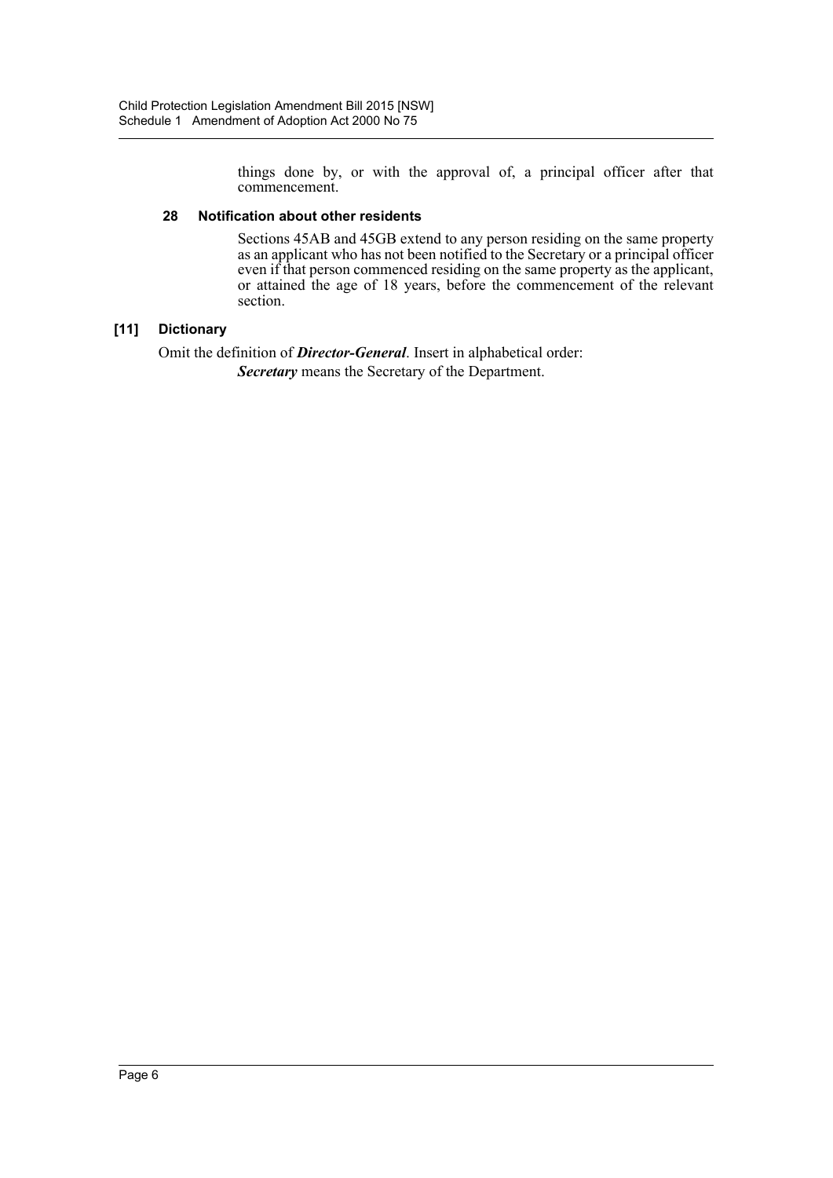things done by, or with the approval of, a principal officer after that commencement.

### **28 Notification about other residents**

Sections 45AB and 45GB extend to any person residing on the same property as an applicant who has not been notified to the Secretary or a principal officer even if that person commenced residing on the same property as the applicant, or attained the age of 18 years, before the commencement of the relevant section.

### **[11] Dictionary**

Omit the definition of *Director-General*. Insert in alphabetical order: *Secretary* means the Secretary of the Department.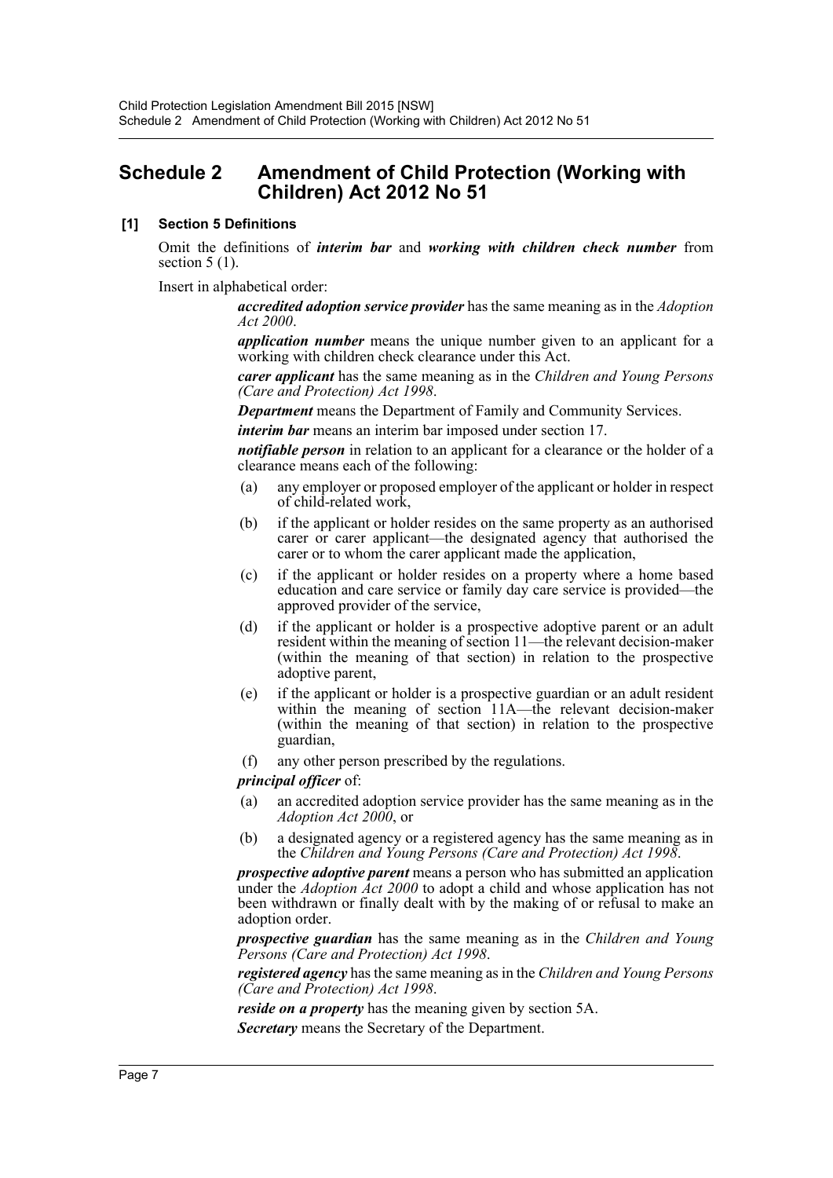### <span id="page-7-0"></span>**Schedule 2 Amendment of Child Protection (Working with Children) Act 2012 No 51**

### **[1] Section 5 Definitions**

Omit the definitions of *interim bar* and *working with children check number* from section  $5(1)$ .

Insert in alphabetical order:

*accredited adoption service provider* has the same meaning as in the *Adoption Act 2000*.

*application number* means the unique number given to an applicant for a working with children check clearance under this Act.

*carer applicant* has the same meaning as in the *Children and Young Persons (Care and Protection) Act 1998*.

*Department* means the Department of Family and Community Services.

*interim bar* means an interim bar imposed under section 17.

*notifiable person* in relation to an applicant for a clearance or the holder of a clearance means each of the following:

- (a) any employer or proposed employer of the applicant or holder in respect of child-related work,
- (b) if the applicant or holder resides on the same property as an authorised carer or carer applicant—the designated agency that authorised the carer or to whom the carer applicant made the application,
- (c) if the applicant or holder resides on a property where a home based education and care service or family day care service is provided—the approved provider of the service,
- (d) if the applicant or holder is a prospective adoptive parent or an adult resident within the meaning of section 11—the relevant decision-maker (within the meaning of that section) in relation to the prospective adoptive parent,
- (e) if the applicant or holder is a prospective guardian or an adult resident within the meaning of section 11A—the relevant decision-maker (within the meaning of that section) in relation to the prospective guardian,
- (f) any other person prescribed by the regulations.

*principal officer* of:

- (a) an accredited adoption service provider has the same meaning as in the *Adoption Act 2000*, or
- (b) a designated agency or a registered agency has the same meaning as in the *Children and Young Persons (Care and Protection) Act 1998*.

*prospective adoptive parent* means a person who has submitted an application under the *Adoption Act 2000* to adopt a child and whose application has not been withdrawn or finally dealt with by the making of or refusal to make an adoption order.

*prospective guardian* has the same meaning as in the *Children and Young Persons (Care and Protection) Act 1998*.

*registered agency* has the same meaning as in the *Children and Young Persons (Care and Protection) Act 1998*.

*reside on a property* has the meaning given by section 5A.

*Secretary* means the Secretary of the Department.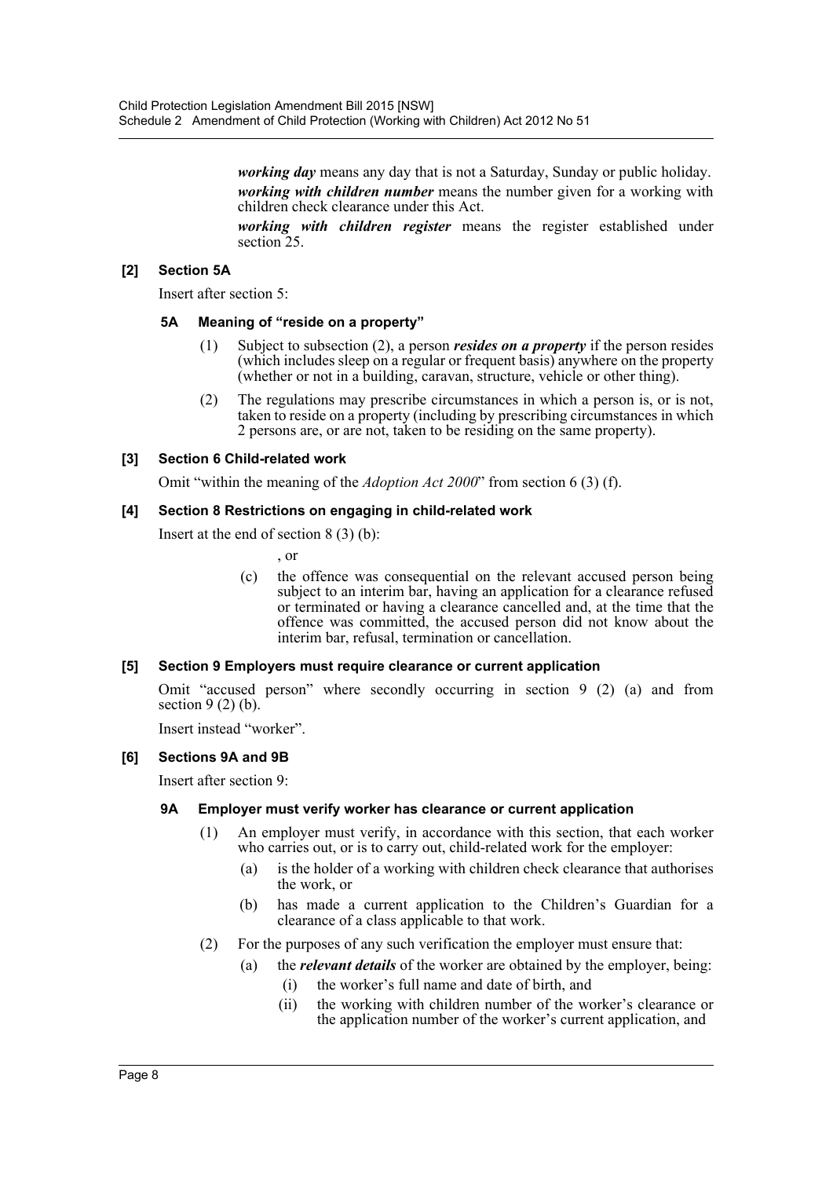*working day* means any day that is not a Saturday, Sunday or public holiday. *working with children number* means the number given for a working with children check clearance under this Act.

*working with children register* means the register established under section<sub>25</sub>.

### **[2] Section 5A**

Insert after section 5:

### **5A Meaning of "reside on a property"**

- (1) Subject to subsection (2), a person *resides on a property* if the person resides (which includes sleep on a regular or frequent basis) anywhere on the property (whether or not in a building, caravan, structure, vehicle or other thing).
- (2) The regulations may prescribe circumstances in which a person is, or is not, taken to reside on a property (including by prescribing circumstances in which 2 persons are, or are not, taken to be residing on the same property).

### **[3] Section 6 Child-related work**

Omit "within the meaning of the *Adoption Act 2000*" from section 6 (3) (f).

### **[4] Section 8 Restrictions on engaging in child-related work**

Insert at the end of section 8 (3) (b):

, or

(c) the offence was consequential on the relevant accused person being subject to an interim bar, having an application for a clearance refused or terminated or having a clearance cancelled and, at the time that the offence was committed, the accused person did not know about the interim bar, refusal, termination or cancellation.

### **[5] Section 9 Employers must require clearance or current application**

Omit "accused person" where secondly occurring in section 9 (2) (a) and from section  $9(2)$  (b).

Insert instead "worker".

### **[6] Sections 9A and 9B**

Insert after section 9:

### **9A Employer must verify worker has clearance or current application**

- (1) An employer must verify, in accordance with this section, that each worker who carries out, or is to carry out, child-related work for the employer:
	- (a) is the holder of a working with children check clearance that authorises the work, or
	- (b) has made a current application to the Children's Guardian for a clearance of a class applicable to that work.
- (2) For the purposes of any such verification the employer must ensure that:
	- (a) the *relevant details* of the worker are obtained by the employer, being:
		- (i) the worker's full name and date of birth, and
		- (ii) the working with children number of the worker's clearance or the application number of the worker's current application, and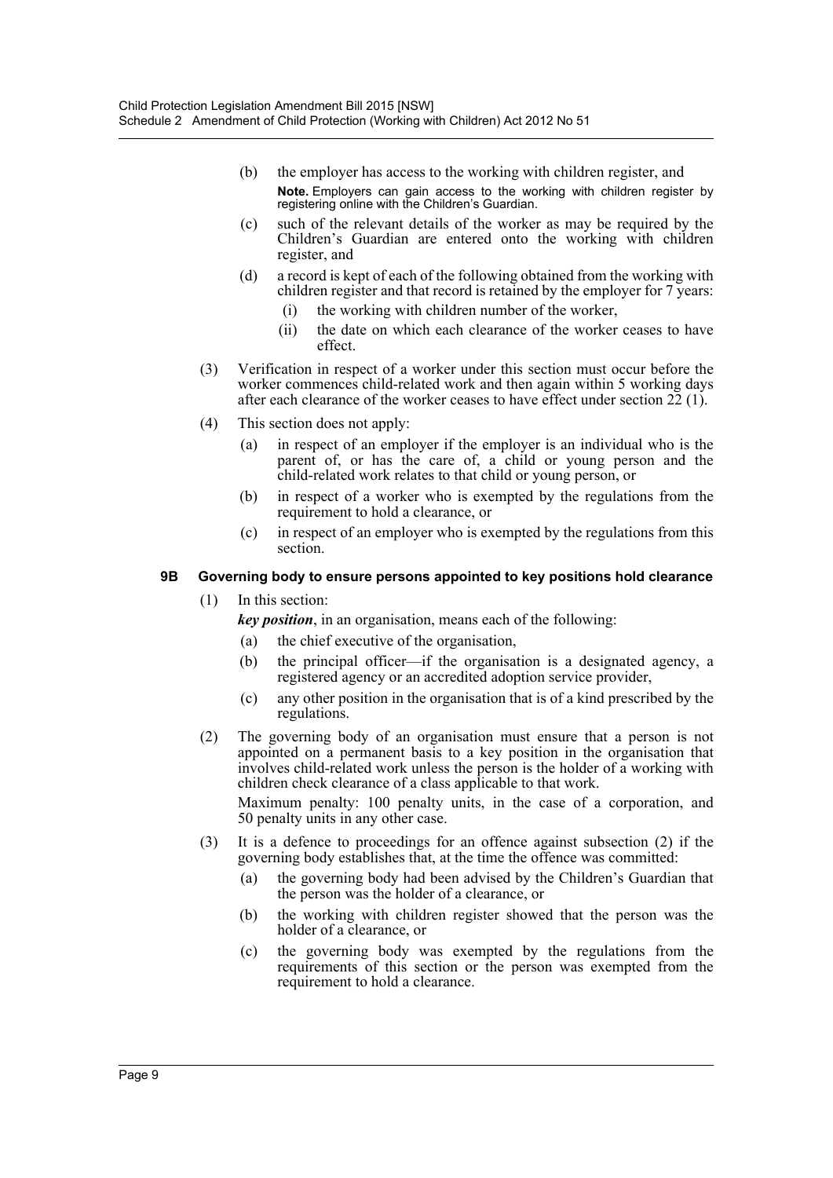- (b) the employer has access to the working with children register, and **Note.** Employers can gain access to the working with children register by registering online with the Children's Guardian.
- (c) such of the relevant details of the worker as may be required by the Children's Guardian are entered onto the working with children register, and
- (d) a record is kept of each of the following obtained from the working with children register and that record is retained by the employer for 7 years:
	- (i) the working with children number of the worker,
	- (ii) the date on which each clearance of the worker ceases to have effect.
- (3) Verification in respect of a worker under this section must occur before the worker commences child-related work and then again within 5 working days after each clearance of the worker ceases to have effect under section 22 (1).
- (4) This section does not apply:
	- (a) in respect of an employer if the employer is an individual who is the parent of, or has the care of, a child or young person and the child-related work relates to that child or young person, or
	- (b) in respect of a worker who is exempted by the regulations from the requirement to hold a clearance, or
	- (c) in respect of an employer who is exempted by the regulations from this section.

### **9B Governing body to ensure persons appointed to key positions hold clearance**

(1) In this section:

*key position*, in an organisation, means each of the following:

- (a) the chief executive of the organisation,
- (b) the principal officer—if the organisation is a designated agency, a registered agency or an accredited adoption service provider,
- (c) any other position in the organisation that is of a kind prescribed by the regulations.
- (2) The governing body of an organisation must ensure that a person is not appointed on a permanent basis to a key position in the organisation that involves child-related work unless the person is the holder of a working with children check clearance of a class applicable to that work.

Maximum penalty: 100 penalty units, in the case of a corporation, and 50 penalty units in any other case.

- (3) It is a defence to proceedings for an offence against subsection (2) if the governing body establishes that, at the time the offence was committed:
	- (a) the governing body had been advised by the Children's Guardian that the person was the holder of a clearance, or
	- (b) the working with children register showed that the person was the holder of a clearance, or
	- (c) the governing body was exempted by the regulations from the requirements of this section or the person was exempted from the requirement to hold a clearance.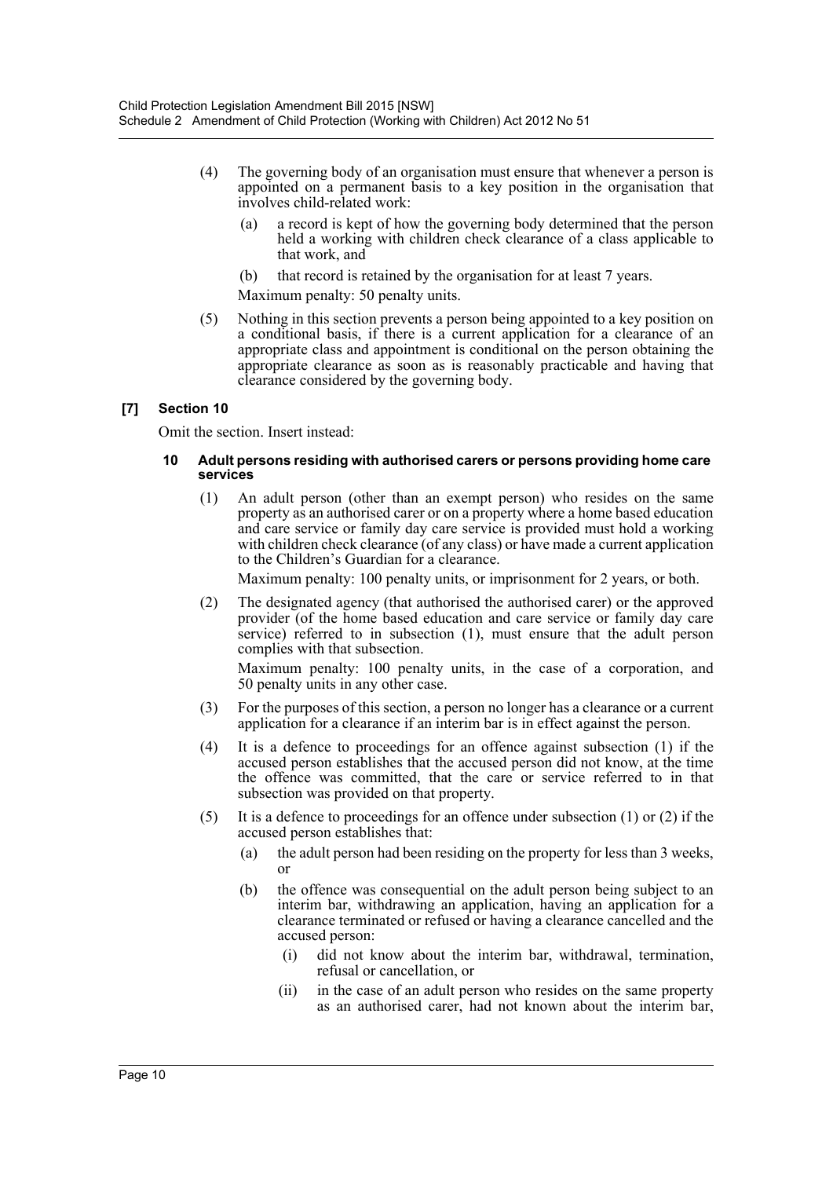- (4) The governing body of an organisation must ensure that whenever a person is appointed on a permanent basis to a key position in the organisation that involves child-related work:
	- (a) a record is kept of how the governing body determined that the person held a working with children check clearance of a class applicable to that work, and
	- (b) that record is retained by the organisation for at least 7 years.

Maximum penalty: 50 penalty units.

(5) Nothing in this section prevents a person being appointed to a key position on a conditional basis, if there is a current application for a clearance of an appropriate class and appointment is conditional on the person obtaining the appropriate clearance as soon as is reasonably practicable and having that clearance considered by the governing body.

### **[7] Section 10**

Omit the section. Insert instead:

### **10 Adult persons residing with authorised carers or persons providing home care services**

(1) An adult person (other than an exempt person) who resides on the same property as an authorised carer or on a property where a home based education and care service or family day care service is provided must hold a working with children check clearance (of any class) or have made a current application to the Children's Guardian for a clearance.

Maximum penalty: 100 penalty units, or imprisonment for 2 years, or both.

(2) The designated agency (that authorised the authorised carer) or the approved provider (of the home based education and care service or family day care service) referred to in subsection (1), must ensure that the adult person complies with that subsection.

Maximum penalty: 100 penalty units, in the case of a corporation, and 50 penalty units in any other case.

- (3) For the purposes of this section, a person no longer has a clearance or a current application for a clearance if an interim bar is in effect against the person.
- (4) It is a defence to proceedings for an offence against subsection (1) if the accused person establishes that the accused person did not know, at the time the offence was committed, that the care or service referred to in that subsection was provided on that property.
- (5) It is a defence to proceedings for an offence under subsection (1) or (2) if the accused person establishes that:
	- (a) the adult person had been residing on the property for less than 3 weeks, or
	- (b) the offence was consequential on the adult person being subject to an interim bar, withdrawing an application, having an application for a clearance terminated or refused or having a clearance cancelled and the accused person:
		- (i) did not know about the interim bar, withdrawal, termination, refusal or cancellation, or
		- (ii) in the case of an adult person who resides on the same property as an authorised carer, had not known about the interim bar,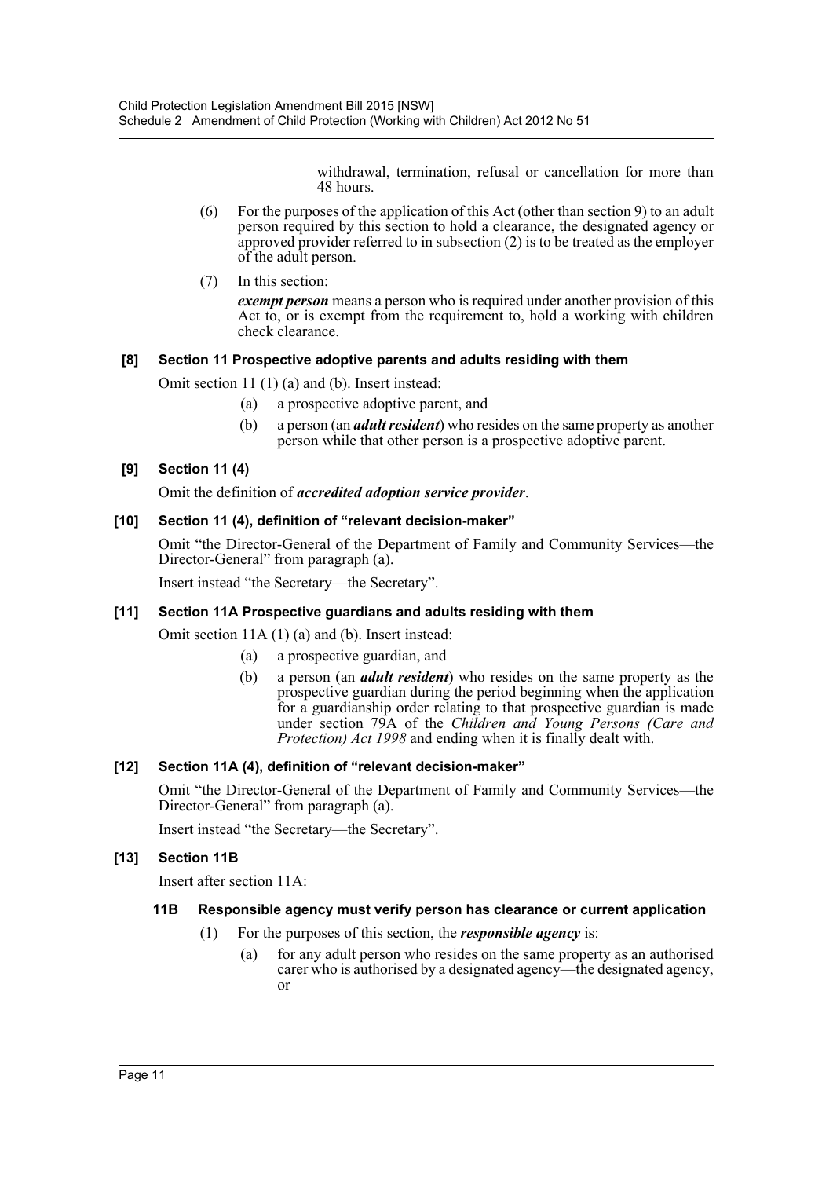withdrawal, termination, refusal or cancellation for more than 48 hours.

- (6) For the purposes of the application of this Act (other than section 9) to an adult person required by this section to hold a clearance, the designated agency or approved provider referred to in subsection (2) is to be treated as the employer of the adult person.
- (7) In this section:

*exempt person* means a person who is required under another provision of this Act to, or is exempt from the requirement to, hold a working with children check clearance.

### **[8] Section 11 Prospective adoptive parents and adults residing with them**

Omit section 11 (1) (a) and (b). Insert instead:

- (a) a prospective adoptive parent, and
- (b) a person (an *adult resident*) who resides on the same property as another person while that other person is a prospective adoptive parent.

### **[9] Section 11 (4)**

Omit the definition of *accredited adoption service provider*.

### **[10] Section 11 (4), definition of "relevant decision-maker"**

Omit "the Director-General of the Department of Family and Community Services—the Director-General" from paragraph (a).

Insert instead "the Secretary—the Secretary".

### **[11] Section 11A Prospective guardians and adults residing with them**

Omit section 11A (1) (a) and (b). Insert instead:

- (a) a prospective guardian, and
- (b) a person (an *adult resident*) who resides on the same property as the prospective guardian during the period beginning when the application for a guardianship order relating to that prospective guardian is made under section 79A of the *Children and Young Persons (Care and Protection) Act 1998* and ending when it is finally dealt with.

### **[12] Section 11A (4), definition of "relevant decision-maker"**

Omit "the Director-General of the Department of Family and Community Services—the Director-General" from paragraph (a).

Insert instead "the Secretary—the Secretary".

### **[13] Section 11B**

Insert after section 11A:

### **11B Responsible agency must verify person has clearance or current application**

- (1) For the purposes of this section, the *responsible agency* is:
	- (a) for any adult person who resides on the same property as an authorised carer who is authorised by a designated agency—the designated agency, or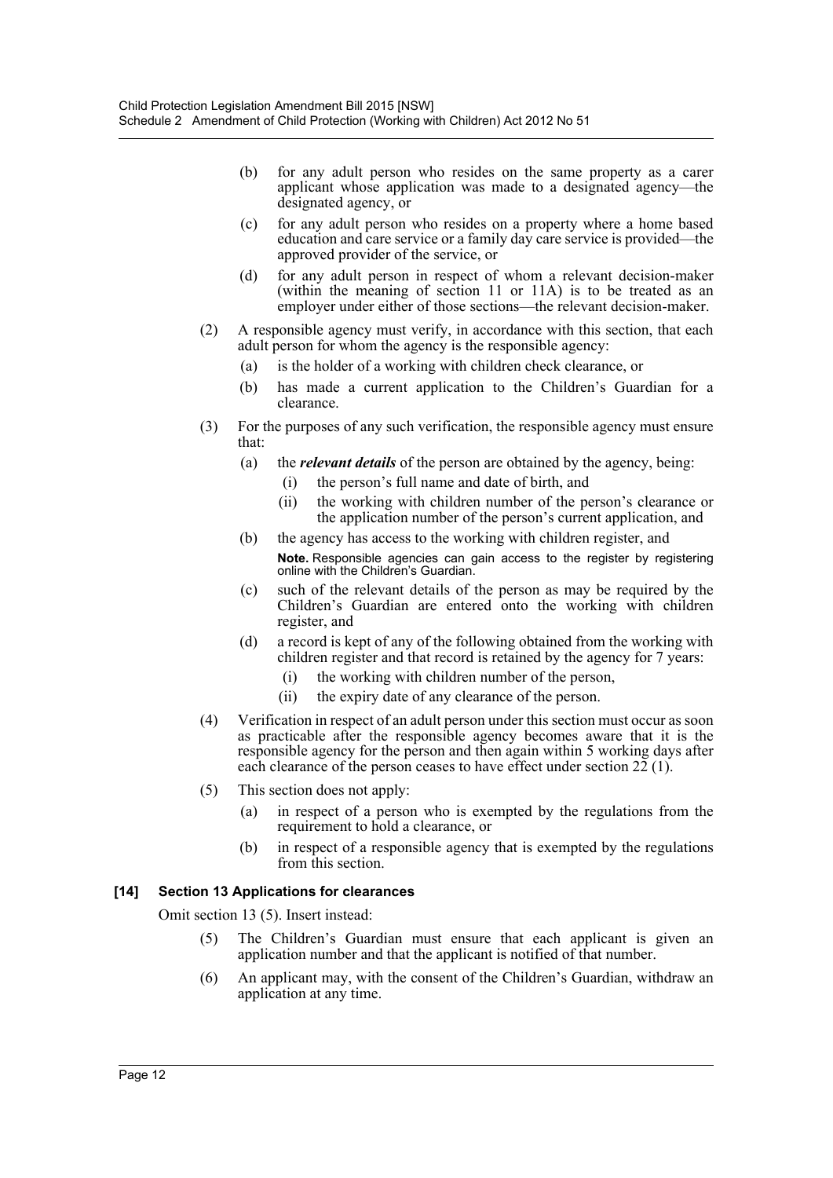- (b) for any adult person who resides on the same property as a carer applicant whose application was made to a designated agency—the designated agency, or
- (c) for any adult person who resides on a property where a home based education and care service or a family day care service is provided—the approved provider of the service, or
- (d) for any adult person in respect of whom a relevant decision-maker (within the meaning of section 11 or 11A) is to be treated as an employer under either of those sections—the relevant decision-maker.
- (2) A responsible agency must verify, in accordance with this section, that each adult person for whom the agency is the responsible agency:
	- (a) is the holder of a working with children check clearance, or
	- (b) has made a current application to the Children's Guardian for a clearance.
- (3) For the purposes of any such verification, the responsible agency must ensure that:
	- (a) the *relevant details* of the person are obtained by the agency, being:
		- (i) the person's full name and date of birth, and
		- (ii) the working with children number of the person's clearance or the application number of the person's current application, and
	- (b) the agency has access to the working with children register, and **Note.** Responsible agencies can gain access to the register by registering online with the Children's Guardian.
	- (c) such of the relevant details of the person as may be required by the Children's Guardian are entered onto the working with children register, and
	- (d) a record is kept of any of the following obtained from the working with children register and that record is retained by the agency for 7 years:
		- (i) the working with children number of the person,
		- (ii) the expiry date of any clearance of the person.
- (4) Verification in respect of an adult person under this section must occur as soon as practicable after the responsible agency becomes aware that it is the responsible agency for the person and then again within 5 working days after each clearance of the person ceases to have effect under section  $2\tilde{2}$  (1).
- (5) This section does not apply:
	- (a) in respect of a person who is exempted by the regulations from the requirement to hold a clearance, or
	- (b) in respect of a responsible agency that is exempted by the regulations from this section.

### **[14] Section 13 Applications for clearances**

Omit section 13 (5). Insert instead:

- (5) The Children's Guardian must ensure that each applicant is given an application number and that the applicant is notified of that number.
- (6) An applicant may, with the consent of the Children's Guardian, withdraw an application at any time.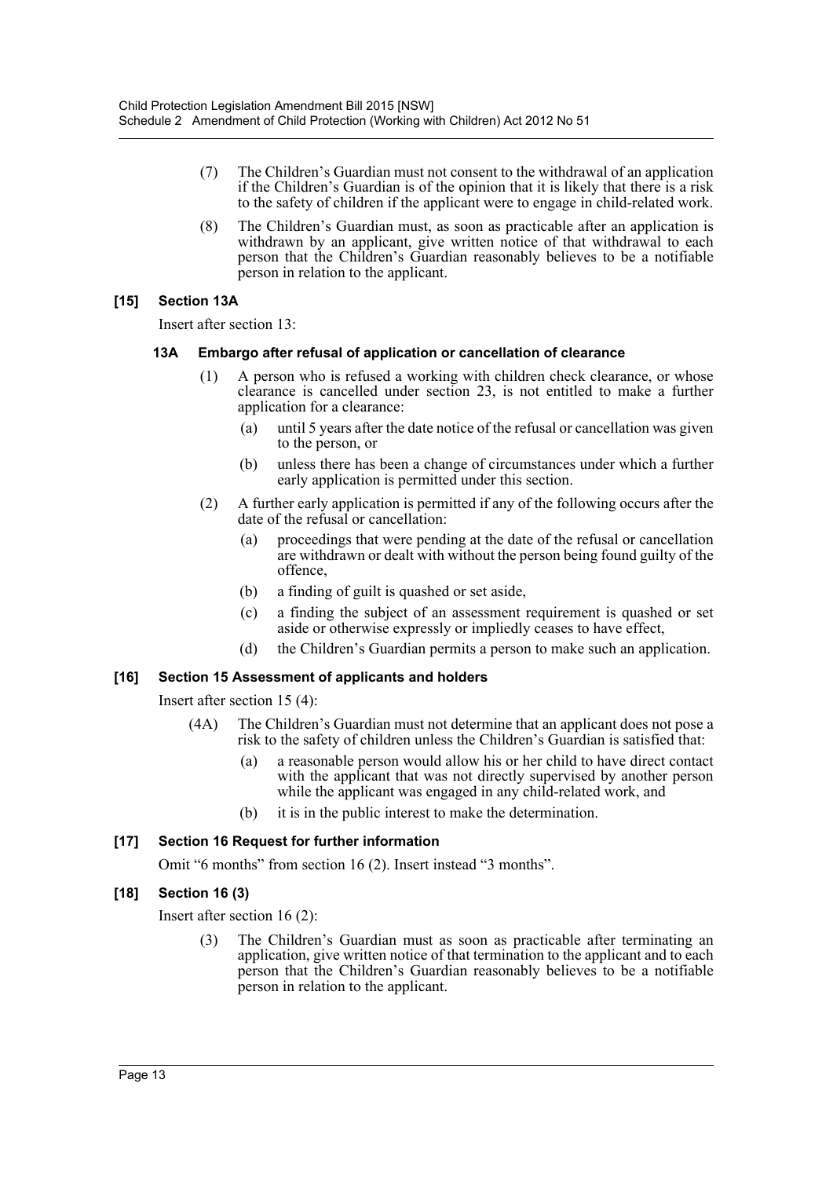- (7) The Children's Guardian must not consent to the withdrawal of an application if the Children's Guardian is of the opinion that it is likely that there is a risk to the safety of children if the applicant were to engage in child-related work.
- (8) The Children's Guardian must, as soon as practicable after an application is withdrawn by an applicant, give written notice of that withdrawal to each person that the Children's Guardian reasonably believes to be a notifiable person in relation to the applicant.

### **[15] Section 13A**

Insert after section 13:

### **13A Embargo after refusal of application or cancellation of clearance**

- (1) A person who is refused a working with children check clearance, or whose clearance is cancelled under section 23, is not entitled to make a further application for a clearance:
	- (a) until 5 years after the date notice of the refusal or cancellation was given to the person, or
	- (b) unless there has been a change of circumstances under which a further early application is permitted under this section.
- (2) A further early application is permitted if any of the following occurs after the date of the refusal or cancellation:
	- (a) proceedings that were pending at the date of the refusal or cancellation are withdrawn or dealt with without the person being found guilty of the offence,
	- (b) a finding of guilt is quashed or set aside,
	- (c) a finding the subject of an assessment requirement is quashed or set aside or otherwise expressly or impliedly ceases to have effect,
	- (d) the Children's Guardian permits a person to make such an application.

### **[16] Section 15 Assessment of applicants and holders**

Insert after section 15 (4):

- (4A) The Children's Guardian must not determine that an applicant does not pose a risk to the safety of children unless the Children's Guardian is satisfied that:
	- (a) a reasonable person would allow his or her child to have direct contact with the applicant that was not directly supervised by another person while the applicant was engaged in any child-related work, and
	- (b) it is in the public interest to make the determination.

### **[17] Section 16 Request for further information**

Omit "6 months" from section 16 (2). Insert instead "3 months".

### **[18] Section 16 (3)**

Insert after section 16 (2):

(3) The Children's Guardian must as soon as practicable after terminating an application, give written notice of that termination to the applicant and to each person that the Children's Guardian reasonably believes to be a notifiable person in relation to the applicant.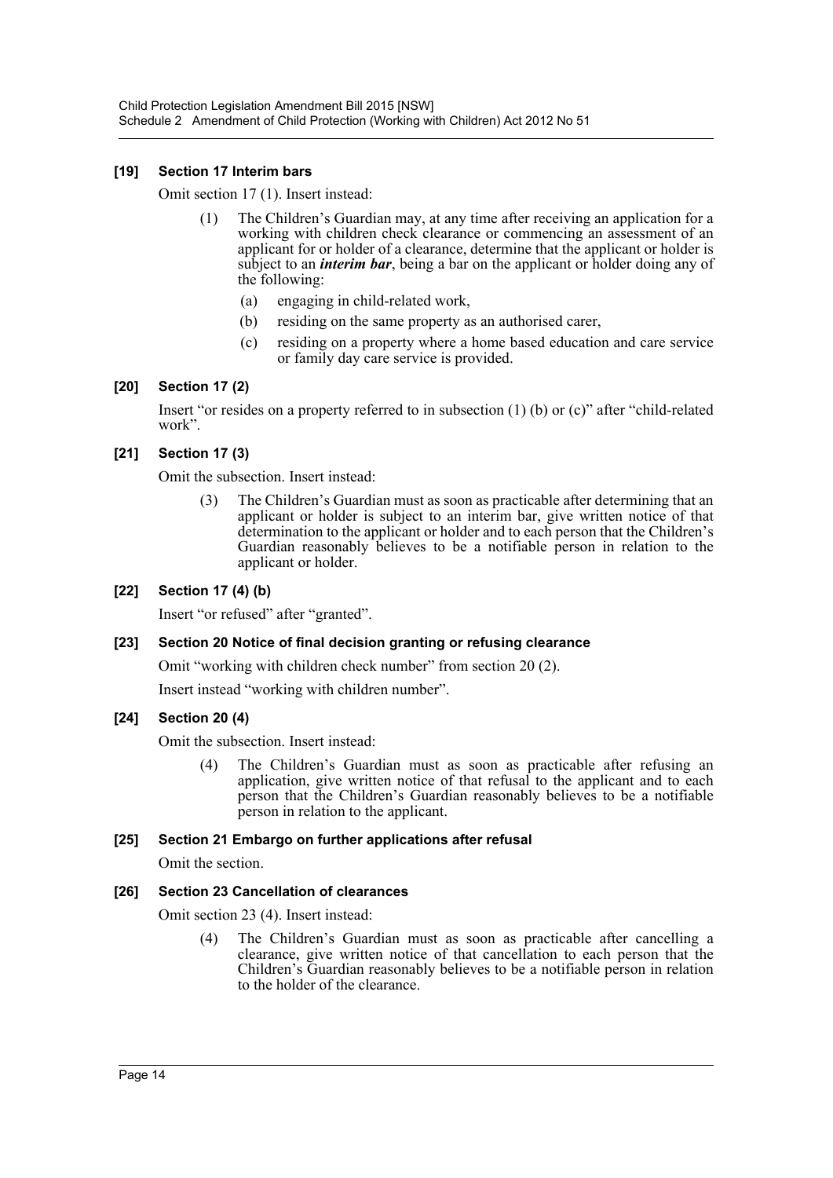### **[19] Section 17 Interim bars**

Omit section 17 (1). Insert instead:

- (1) The Children's Guardian may, at any time after receiving an application for a working with children check clearance or commencing an assessment of an applicant for or holder of a clearance, determine that the applicant or holder is subject to an *interim bar*, being a bar on the applicant or holder doing any of the following:
	- (a) engaging in child-related work,
	- (b) residing on the same property as an authorised carer,
	- (c) residing on a property where a home based education and care service or family day care service is provided.

### **[20] Section 17 (2)**

Insert "or resides on a property referred to in subsection (1) (b) or (c)" after "child-related work".

### **[21] Section 17 (3)**

Omit the subsection. Insert instead:

(3) The Children's Guardian must as soon as practicable after determining that an applicant or holder is subject to an interim bar, give written notice of that determination to the applicant or holder and to each person that the Children's Guardian reasonably believes to be a notifiable person in relation to the applicant or holder.

### **[22] Section 17 (4) (b)**

Insert "or refused" after "granted".

### **[23] Section 20 Notice of final decision granting or refusing clearance**

Omit "working with children check number" from section 20 (2).

Insert instead "working with children number".

### **[24] Section 20 (4)**

Omit the subsection. Insert instead:

(4) The Children's Guardian must as soon as practicable after refusing an application, give written notice of that refusal to the applicant and to each person that the Children's Guardian reasonably believes to be a notifiable person in relation to the applicant.

### **[25] Section 21 Embargo on further applications after refusal**

Omit the section.

### **[26] Section 23 Cancellation of clearances**

Omit section 23 (4). Insert instead:

(4) The Children's Guardian must as soon as practicable after cancelling a clearance, give written notice of that cancellation to each person that the Children's Guardian reasonably believes to be a notifiable person in relation to the holder of the clearance.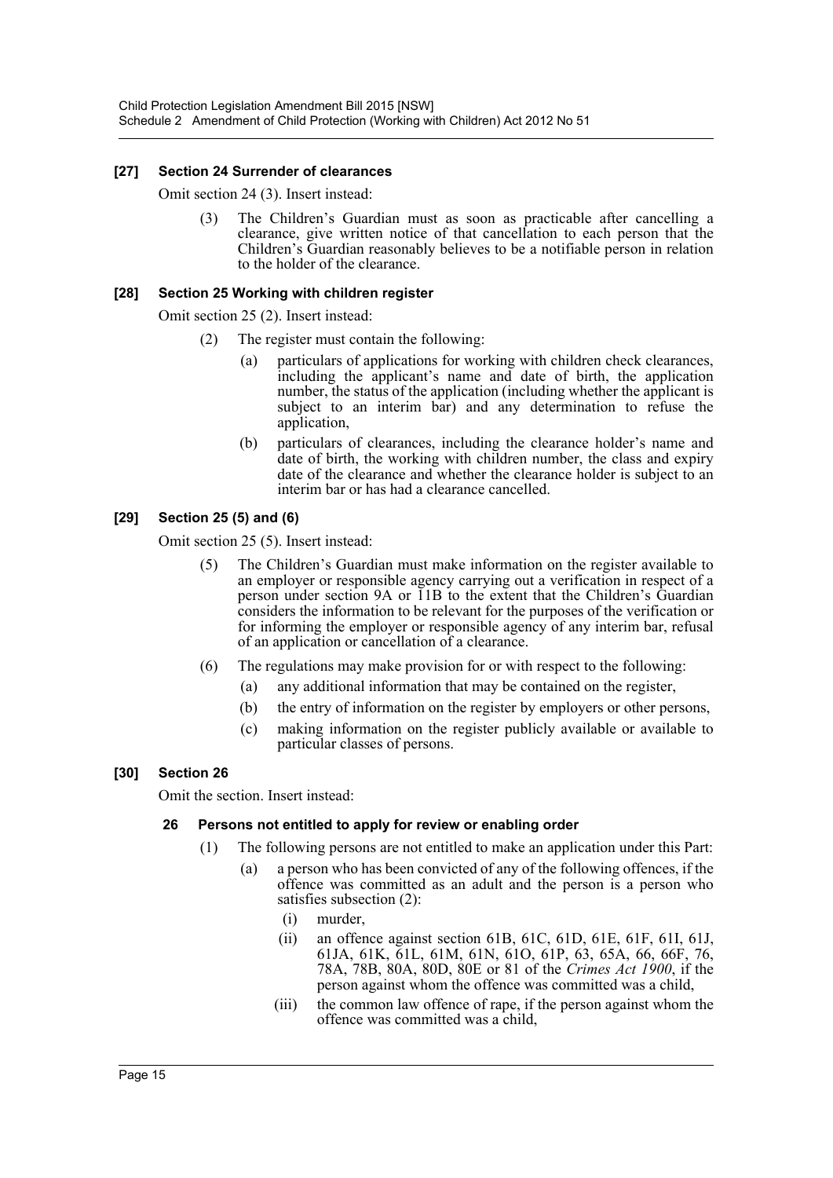### **[27] Section 24 Surrender of clearances**

Omit section 24 (3). Insert instead:

(3) The Children's Guardian must as soon as practicable after cancelling a clearance, give written notice of that cancellation to each person that the Children's Guardian reasonably believes to be a notifiable person in relation to the holder of the clearance.

### **[28] Section 25 Working with children register**

Omit section 25 (2). Insert instead:

- (2) The register must contain the following:
	- (a) particulars of applications for working with children check clearances, including the applicant's name and date of birth, the application number, the status of the application (including whether the applicant is subject to an interim bar) and any determination to refuse the application,
	- (b) particulars of clearances, including the clearance holder's name and date of birth, the working with children number, the class and expiry date of the clearance and whether the clearance holder is subject to an interim bar or has had a clearance cancelled.

### **[29] Section 25 (5) and (6)**

Omit section 25 (5). Insert instead:

- (5) The Children's Guardian must make information on the register available to an employer or responsible agency carrying out a verification in respect of a person under section 9A or 11B to the extent that the Children's Guardian considers the information to be relevant for the purposes of the verification or for informing the employer or responsible agency of any interim bar, refusal of an application or cancellation of a clearance.
- (6) The regulations may make provision for or with respect to the following:
	- (a) any additional information that may be contained on the register,
	- (b) the entry of information on the register by employers or other persons,
	- (c) making information on the register publicly available or available to particular classes of persons.

### **[30] Section 26**

Omit the section. Insert instead:

### **26 Persons not entitled to apply for review or enabling order**

- (1) The following persons are not entitled to make an application under this Part:
	- (a) a person who has been convicted of any of the following offences, if the offence was committed as an adult and the person is a person who satisfies subsection (2):
		- (i) murder,
		- (ii) an offence against section 61B, 61C, 61D, 61E, 61F, 61I, 61J, 61JA, 61K, 61L, 61M, 61N, 61O, 61P, 63, 65A, 66, 66F, 76, 78A, 78B, 80A, 80D, 80E or 81 of the *Crimes Act 1900*, if the person against whom the offence was committed was a child,
		- (iii) the common law offence of rape, if the person against whom the offence was committed was a child,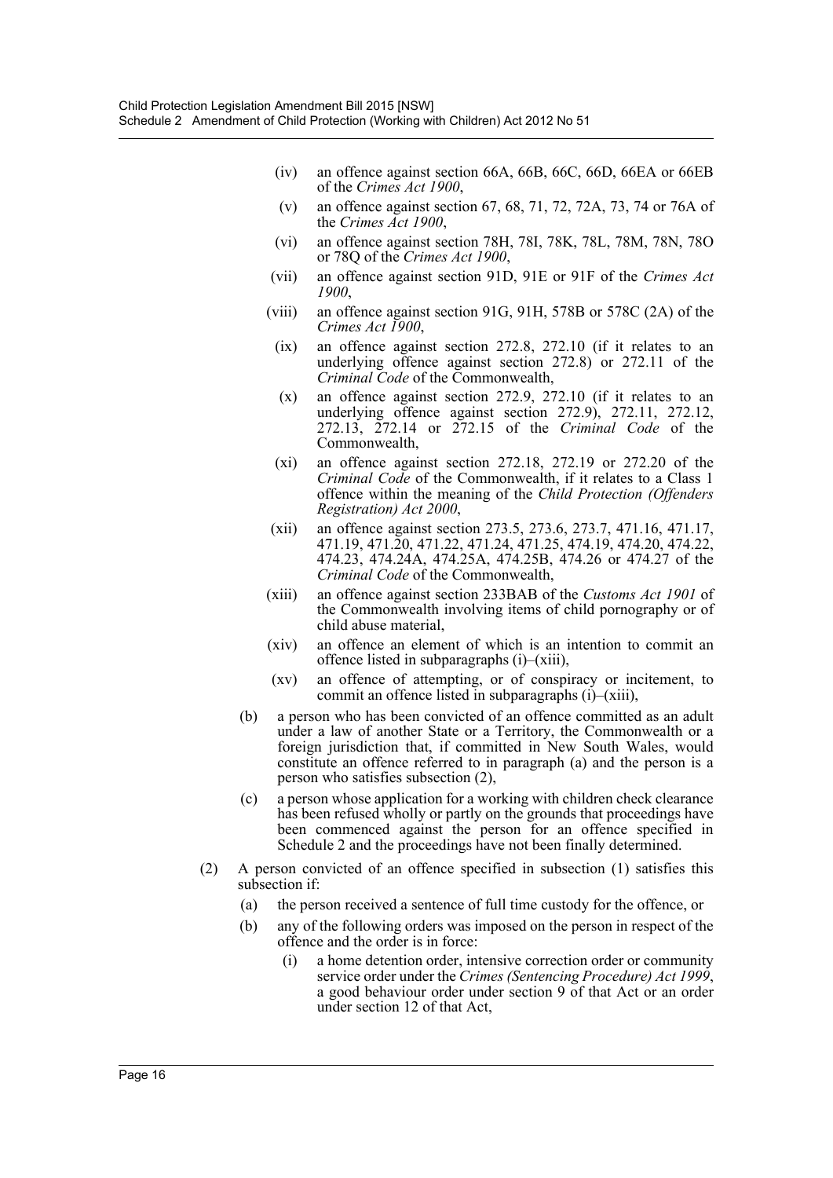- (iv) an offence against section 66A, 66B, 66C, 66D, 66EA or 66EB of the *Crimes Act 1900*,
- (v) an offence against section 67, 68, 71, 72, 72A, 73, 74 or 76A of the *Crimes Act 1900*,
- (vi) an offence against section 78H, 78I, 78K, 78L, 78M, 78N, 78O or 78Q of the *Crimes Act 1900*,
- (vii) an offence against section 91D, 91E or 91F of the *Crimes Act 1900*,
- (viii) an offence against section 91G, 91H, 578B or 578C (2A) of the *Crimes Act 1900*,
- (ix) an offence against section 272.8, 272.10 (if it relates to an underlying offence against section 272.8) or 272.11 of the *Criminal Code* of the Commonwealth,
- (x) an offence against section 272.9, 272.10 (if it relates to an underlying offence against section 272.9), 272.11, 272.12, 272.13, 272.14 or 272.15 of the *Criminal Code* of the Commonwealth,
- (xi) an offence against section 272.18, 272.19 or 272.20 of the *Criminal Code* of the Commonwealth, if it relates to a Class 1 offence within the meaning of the *Child Protection (Offenders Registration) Act 2000*,
- (xii) an offence against section 273.5, 273.6, 273.7, 471.16, 471.17, 471.19, 471.20, 471.22, 471.24, 471.25, 474.19, 474.20, 474.22, 474.23, 474.24A, 474.25A, 474.25B, 474.26 or 474.27 of the *Criminal Code* of the Commonwealth,
- (xiii) an offence against section 233BAB of the *Customs Act 1901* of the Commonwealth involving items of child pornography or of child abuse material,
- (xiv) an offence an element of which is an intention to commit an offence listed in subparagraphs (i)–(xiii),
- (xv) an offence of attempting, or of conspiracy or incitement, to commit an offence listed in subparagraphs (i)–(xiii),
- (b) a person who has been convicted of an offence committed as an adult under a law of another State or a Territory, the Commonwealth or a foreign jurisdiction that, if committed in New South Wales, would constitute an offence referred to in paragraph (a) and the person is a person who satisfies subsection (2),
- (c) a person whose application for a working with children check clearance has been refused wholly or partly on the grounds that proceedings have been commenced against the person for an offence specified in Schedule 2 and the proceedings have not been finally determined.
- (2) A person convicted of an offence specified in subsection (1) satisfies this subsection if:
	- (a) the person received a sentence of full time custody for the offence, or
	- (b) any of the following orders was imposed on the person in respect of the offence and the order is in force:
		- (i) a home detention order, intensive correction order or community service order under the *Crimes (Sentencing Procedure) Act 1999*, a good behaviour order under section 9 of that Act or an order under section 12 of that Act,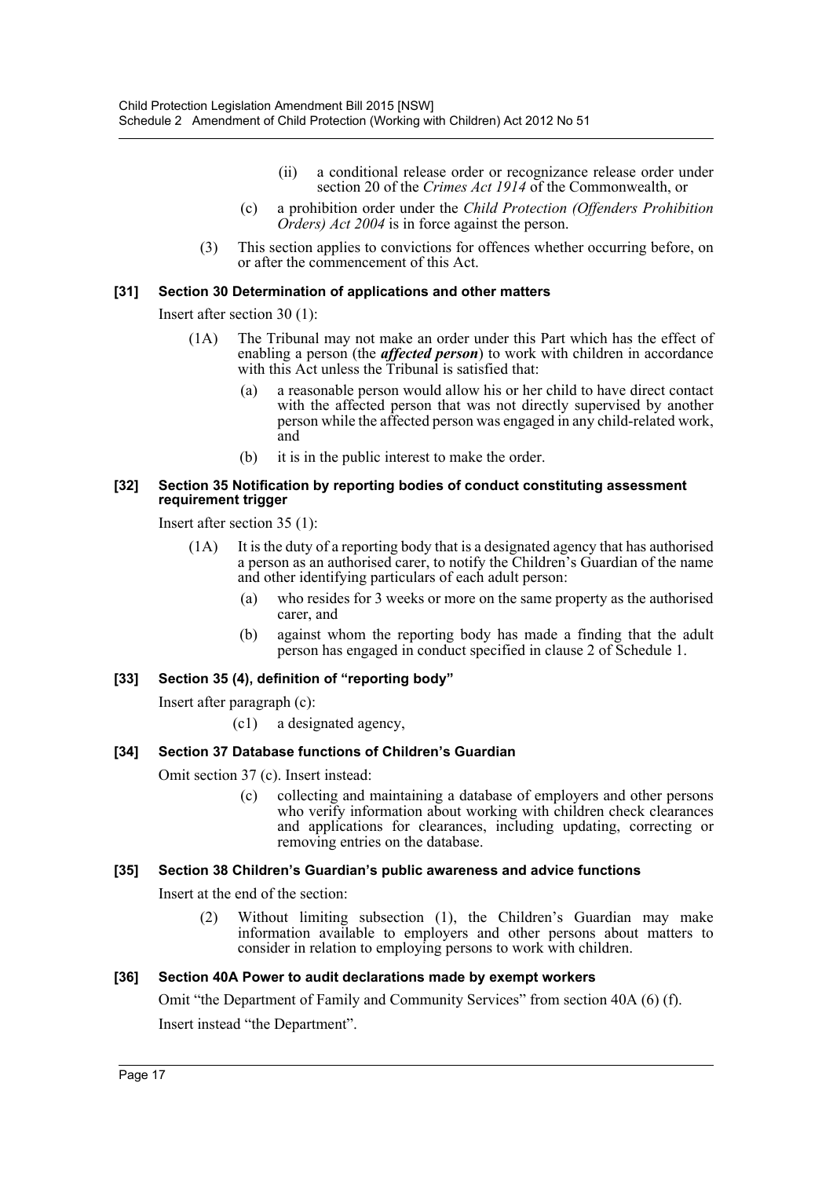- (ii) a conditional release order or recognizance release order under section 20 of the *Crimes Act 1914* of the Commonwealth, or
- (c) a prohibition order under the *Child Protection (Offenders Prohibition Orders) Act 2004* is in force against the person.
- (3) This section applies to convictions for offences whether occurring before, on or after the commencement of this Act.

### **[31] Section 30 Determination of applications and other matters**

Insert after section 30 (1):

- (1A) The Tribunal may not make an order under this Part which has the effect of enabling a person (the *affected person*) to work with children in accordance with this Act unless the Tribunal is satisfied that:
	- (a) a reasonable person would allow his or her child to have direct contact with the affected person that was not directly supervised by another person while the affected person was engaged in any child-related work, and
	- (b) it is in the public interest to make the order.

#### **[32] Section 35 Notification by reporting bodies of conduct constituting assessment requirement trigger**

Insert after section 35 (1):

- (1A) It is the duty of a reporting body that is a designated agency that has authorised a person as an authorised carer, to notify the Children's Guardian of the name and other identifying particulars of each adult person:
	- (a) who resides for 3 weeks or more on the same property as the authorised carer, and
	- (b) against whom the reporting body has made a finding that the adult person has engaged in conduct specified in clause 2 of Schedule 1.

### **[33] Section 35 (4), definition of "reporting body"**

Insert after paragraph (c):

(c1) a designated agency,

### **[34] Section 37 Database functions of Children's Guardian**

Omit section 37 (c). Insert instead:

(c) collecting and maintaining a database of employers and other persons who verify information about working with children check clearances and applications for clearances, including updating, correcting or removing entries on the database.

### **[35] Section 38 Children's Guardian's public awareness and advice functions**

Insert at the end of the section:

(2) Without limiting subsection (1), the Children's Guardian may make information available to employers and other persons about matters to consider in relation to employing persons to work with children.

### **[36] Section 40A Power to audit declarations made by exempt workers**

Omit "the Department of Family and Community Services" from section 40A (6) (f).

Insert instead "the Department".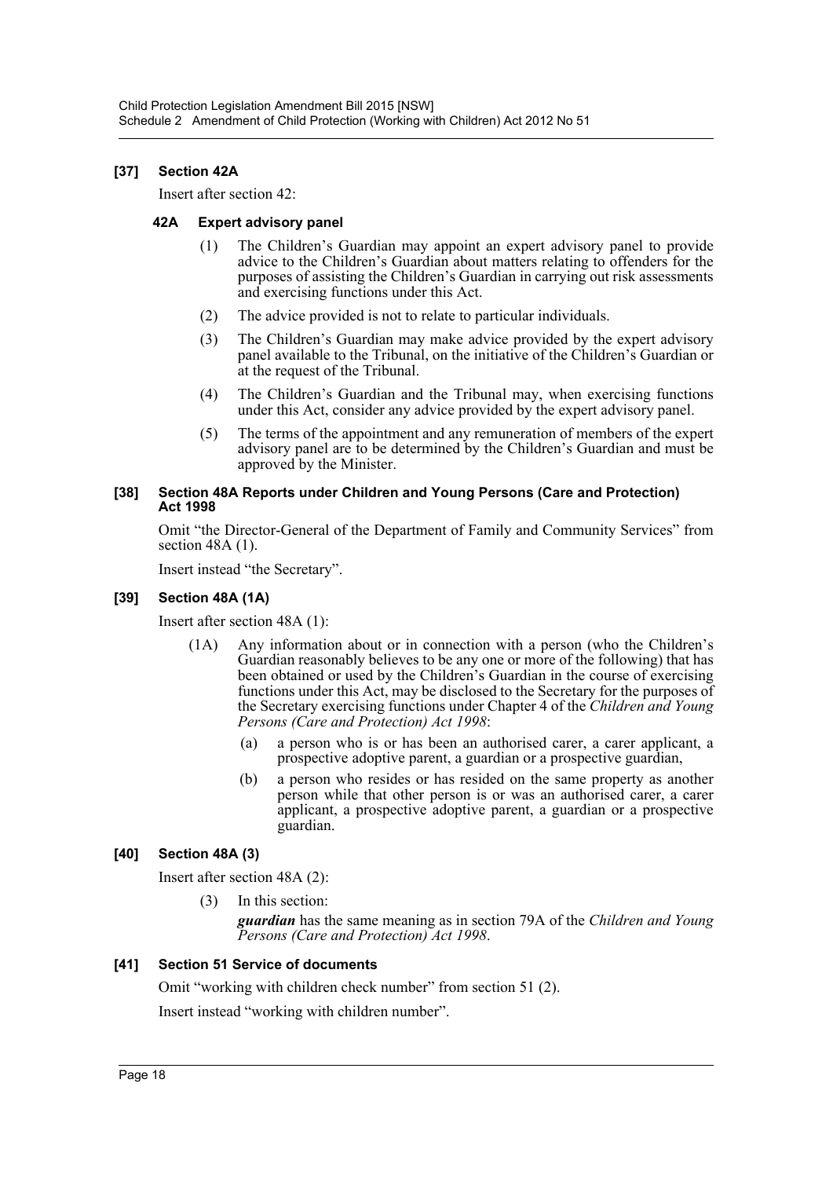### **[37] Section 42A**

Insert after section 42:

### **42A Expert advisory panel**

- (1) The Children's Guardian may appoint an expert advisory panel to provide advice to the Children's Guardian about matters relating to offenders for the purposes of assisting the Children's Guardian in carrying out risk assessments and exercising functions under this Act.
- (2) The advice provided is not to relate to particular individuals.
- (3) The Children's Guardian may make advice provided by the expert advisory panel available to the Tribunal, on the initiative of the Children's Guardian or at the request of the Tribunal.
- (4) The Children's Guardian and the Tribunal may, when exercising functions under this Act, consider any advice provided by the expert advisory panel.
- (5) The terms of the appointment and any remuneration of members of the expert advisory panel are to be determined by the Children's Guardian and must be approved by the Minister.

### **[38] Section 48A Reports under Children and Young Persons (Care and Protection) Act 1998**

Omit "the Director-General of the Department of Family and Community Services" from section 48A (1).

Insert instead "the Secretary".

### **[39] Section 48A (1A)**

Insert after section 48A (1):

- (1A) Any information about or in connection with a person (who the Children's Guardian reasonably believes to be any one or more of the following) that has been obtained or used by the Children's Guardian in the course of exercising functions under this Act, may be disclosed to the Secretary for the purposes of the Secretary exercising functions under Chapter 4 of the *Children and Young Persons (Care and Protection) Act 1998*:
	- (a) a person who is or has been an authorised carer, a carer applicant, a prospective adoptive parent, a guardian or a prospective guardian,
	- (b) a person who resides or has resided on the same property as another person while that other person is or was an authorised carer, a carer applicant, a prospective adoptive parent, a guardian or a prospective guardian.

### **[40] Section 48A (3)**

Insert after section 48A (2):

(3) In this section:

*guardian* has the same meaning as in section 79A of the *Children and Young Persons (Care and Protection) Act 1998*.

### **[41] Section 51 Service of documents**

Omit "working with children check number" from section 51 (2).

Insert instead "working with children number".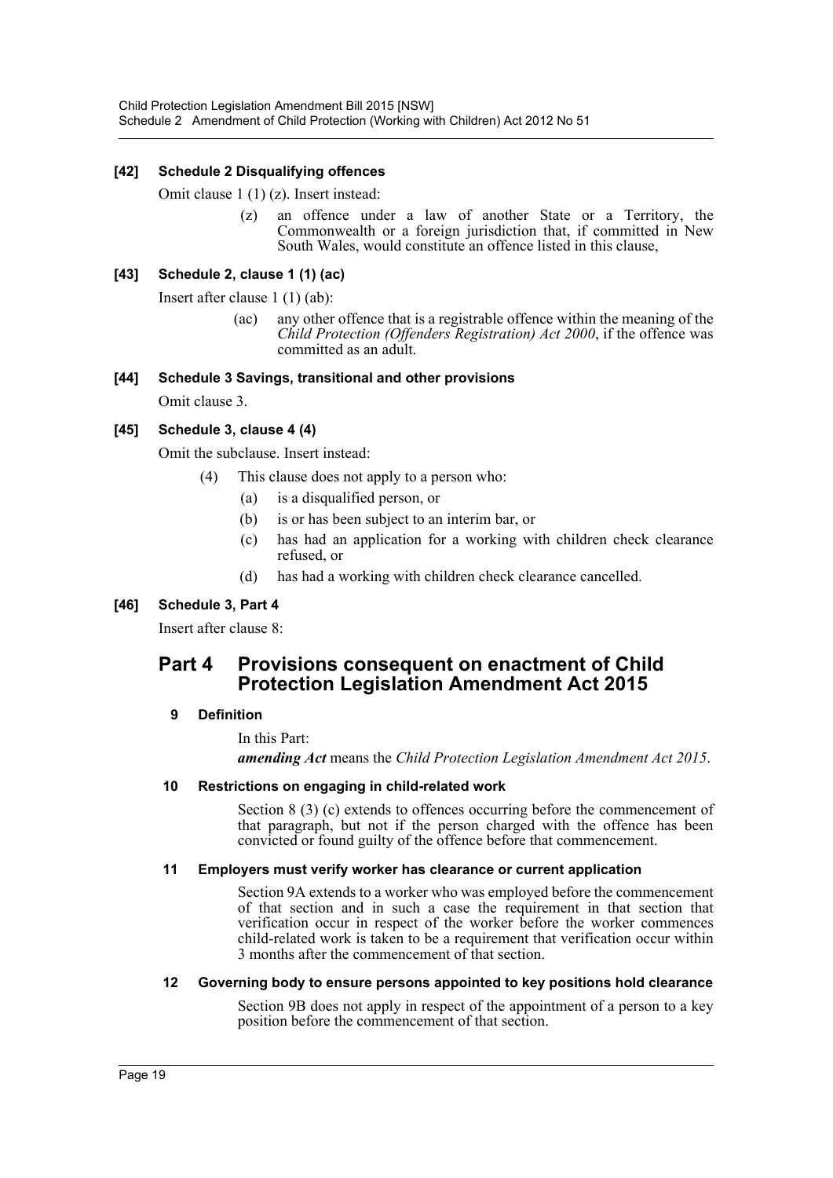### **[42] Schedule 2 Disqualifying offences**

Omit clause 1 (1) (z). Insert instead:

(z) an offence under a law of another State or a Territory, the Commonwealth or a foreign jurisdiction that, if committed in New South Wales, would constitute an offence listed in this clause,

### **[43] Schedule 2, clause 1 (1) (ac)**

Insert after clause 1 (1) (ab):

(ac) any other offence that is a registrable offence within the meaning of the *Child Protection (Offenders Registration) Act 2000*, if the offence was committed as an adult.

### **[44] Schedule 3 Savings, transitional and other provisions**

Omit clause 3.

### **[45] Schedule 3, clause 4 (4)**

Omit the subclause. Insert instead:

- (4) This clause does not apply to a person who:
	- (a) is a disqualified person, or
	- (b) is or has been subject to an interim bar, or
	- (c) has had an application for a working with children check clearance refused, or
	- (d) has had a working with children check clearance cancelled.

### **[46] Schedule 3, Part 4**

Insert after clause 8:

### **Part 4 Provisions consequent on enactment of Child Protection Legislation Amendment Act 2015**

### **9 Definition**

In this Part: *amending Act* means the *Child Protection Legislation Amendment Act 2015*.

### **10 Restrictions on engaging in child-related work**

Section 8 (3) (c) extends to offences occurring before the commencement of that paragraph, but not if the person charged with the offence has been convicted or found guilty of the offence before that commencement.

### **11 Employers must verify worker has clearance or current application**

Section 9A extends to a worker who was employed before the commencement of that section and in such a case the requirement in that section that verification occur in respect of the worker before the worker commences child-related work is taken to be a requirement that verification occur within 3 months after the commencement of that section.

### **12 Governing body to ensure persons appointed to key positions hold clearance**

Section 9B does not apply in respect of the appointment of a person to a key position before the commencement of that section.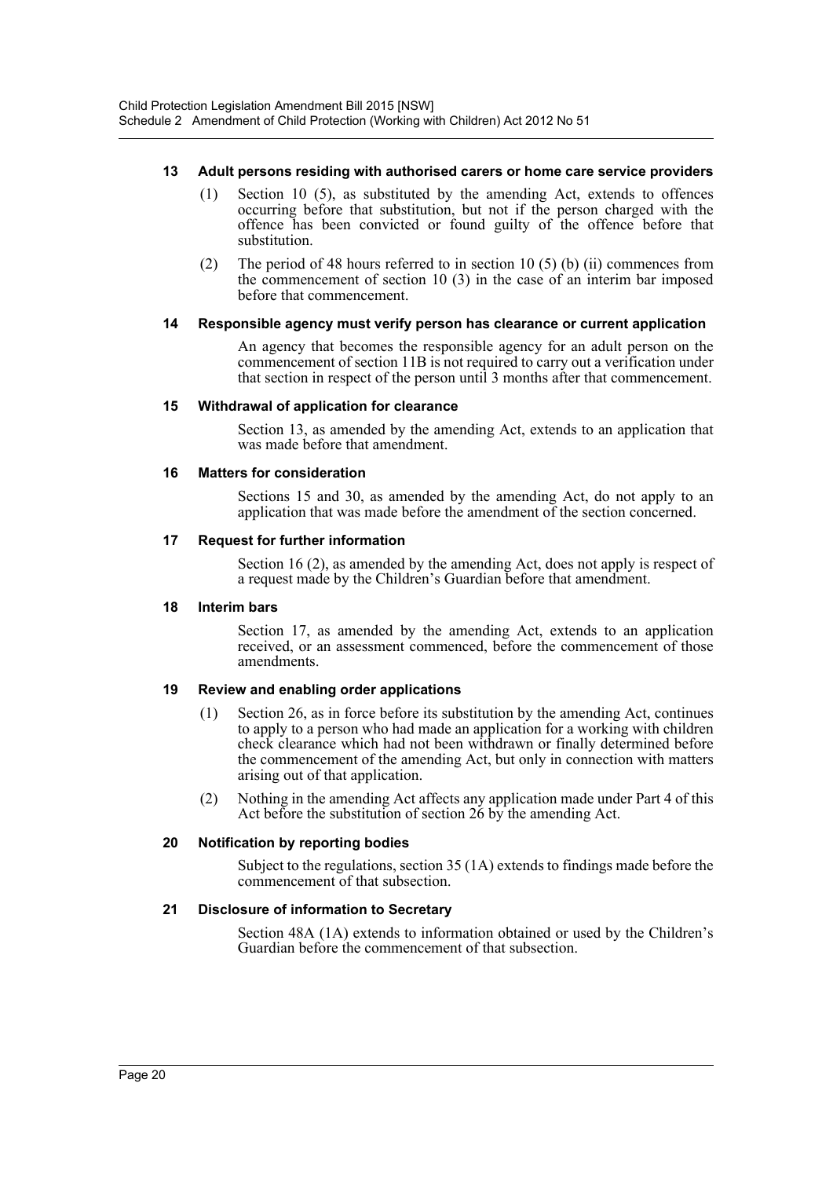### **13 Adult persons residing with authorised carers or home care service providers**

- (1) Section 10 (5), as substituted by the amending Act, extends to offences occurring before that substitution, but not if the person charged with the offence has been convicted or found guilty of the offence before that substitution.
- (2) The period of 48 hours referred to in section 10 (5) (b) (ii) commences from the commencement of section 10 (3) in the case of an interim bar imposed before that commencement.

### **14 Responsible agency must verify person has clearance or current application**

An agency that becomes the responsible agency for an adult person on the commencement of section 11B is not required to carry out a verification under that section in respect of the person until 3 months after that commencement.

### **15 Withdrawal of application for clearance**

Section 13, as amended by the amending Act, extends to an application that was made before that amendment.

### **16 Matters for consideration**

Sections 15 and 30, as amended by the amending Act, do not apply to an application that was made before the amendment of the section concerned.

### **17 Request for further information**

Section 16 (2), as amended by the amending Act, does not apply is respect of a request made by the Children's Guardian before that amendment.

### **18 Interim bars**

Section 17, as amended by the amending Act, extends to an application received, or an assessment commenced, before the commencement of those amendments.

### **19 Review and enabling order applications**

- (1) Section 26, as in force before its substitution by the amending Act, continues to apply to a person who had made an application for a working with children check clearance which had not been withdrawn or finally determined before the commencement of the amending Act, but only in connection with matters arising out of that application.
- (2) Nothing in the amending Act affects any application made under Part 4 of this Act before the substitution of section 26 by the amending Act.

### **20 Notification by reporting bodies**

Subject to the regulations, section 35 (1A) extends to findings made before the commencement of that subsection.

### **21 Disclosure of information to Secretary**

Section 48A (1A) extends to information obtained or used by the Children's Guardian before the commencement of that subsection.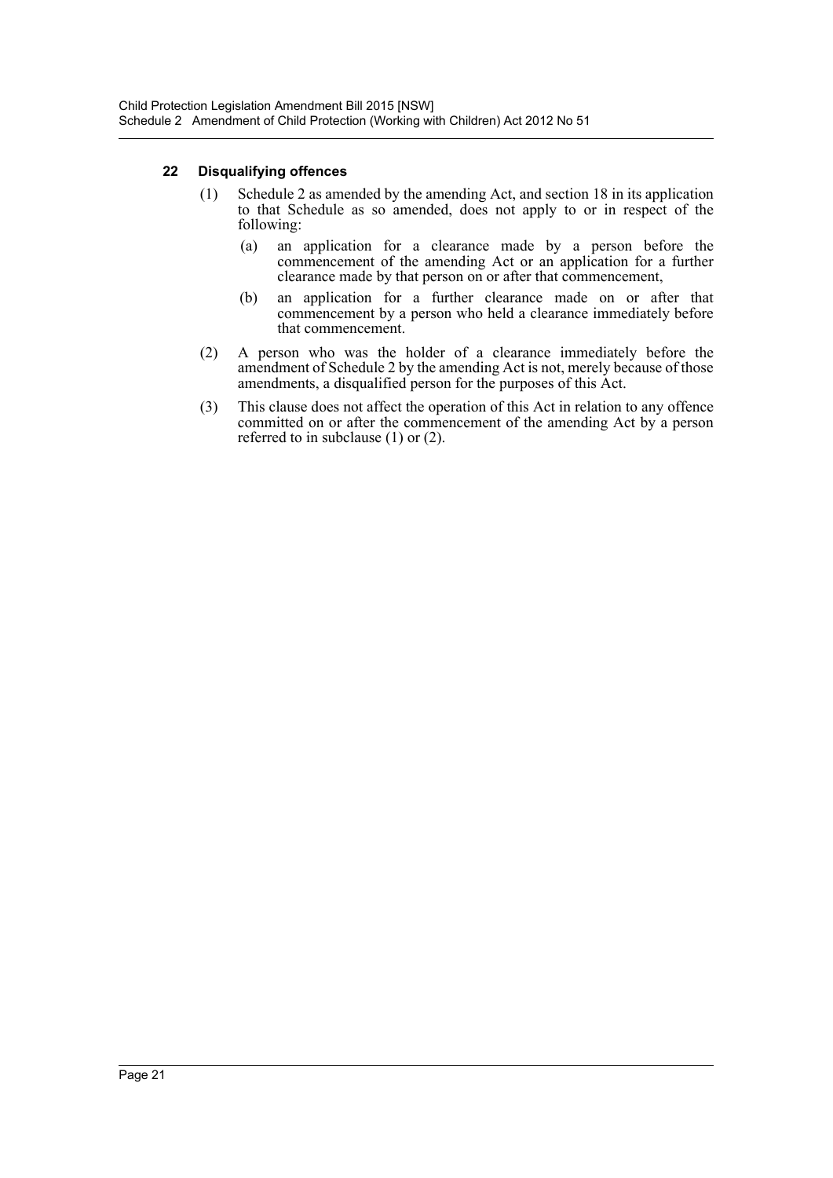### **22 Disqualifying offences**

- (1) Schedule 2 as amended by the amending Act, and section 18 in its application to that Schedule as so amended, does not apply to or in respect of the following:
	- (a) an application for a clearance made by a person before the commencement of the amending Act or an application for a further clearance made by that person on or after that commencement,
	- (b) an application for a further clearance made on or after that commencement by a person who held a clearance immediately before that commencement.
- (2) A person who was the holder of a clearance immediately before the amendment of Schedule 2 by the amending Act is not, merely because of those amendments, a disqualified person for the purposes of this Act.
- (3) This clause does not affect the operation of this Act in relation to any offence committed on or after the commencement of the amending Act by a person referred to in subclause (1) or (2).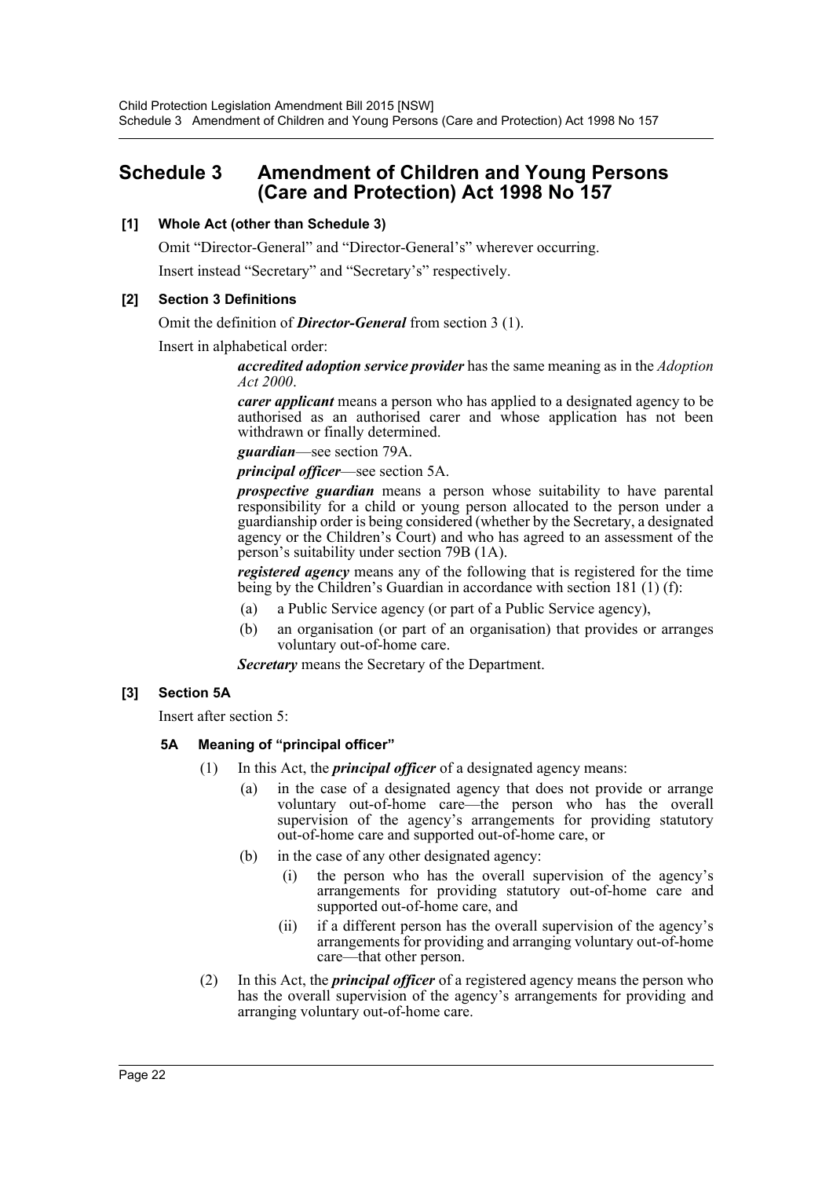### <span id="page-22-0"></span>**Schedule 3 Amendment of Children and Young Persons (Care and Protection) Act 1998 No 157**

### **[1] Whole Act (other than Schedule 3)**

Omit "Director-General" and "Director-General's" wherever occurring.

Insert instead "Secretary" and "Secretary's" respectively.

### **[2] Section 3 Definitions**

Omit the definition of *Director-General* from section 3 (1).

Insert in alphabetical order:

*accredited adoption service provider* has the same meaning as in the *Adoption Act 2000*.

*carer applicant* means a person who has applied to a designated agency to be authorised as an authorised carer and whose application has not been withdrawn or finally determined.

*guardian*—see section 79A.

*principal officer*—see section 5A.

*prospective guardian* means a person whose suitability to have parental responsibility for a child or young person allocated to the person under a guardianship order is being considered (whether by the Secretary, a designated agency or the Children's Court) and who has agreed to an assessment of the person's suitability under section 79B (1A).

*registered agency* means any of the following that is registered for the time being by the Children's Guardian in accordance with section 181 (1) (f):

- (a) a Public Service agency (or part of a Public Service agency),
- (b) an organisation (or part of an organisation) that provides or arranges voluntary out-of-home care.

*Secretary* means the Secretary of the Department.

### **[3] Section 5A**

Insert after section 5:

### **5A Meaning of "principal officer"**

- (1) In this Act, the *principal officer* of a designated agency means:
	- (a) in the case of a designated agency that does not provide or arrange voluntary out-of-home care—the person who has the overall supervision of the agency's arrangements for providing statutory out-of-home care and supported out-of-home care, or
	- (b) in the case of any other designated agency:
		- (i) the person who has the overall supervision of the agency's arrangements for providing statutory out-of-home care and supported out-of-home care, and
		- (ii) if a different person has the overall supervision of the agency's arrangements for providing and arranging voluntary out-of-home care—that other person.
- (2) In this Act, the *principal officer* of a registered agency means the person who has the overall supervision of the agency's arrangements for providing and arranging voluntary out-of-home care.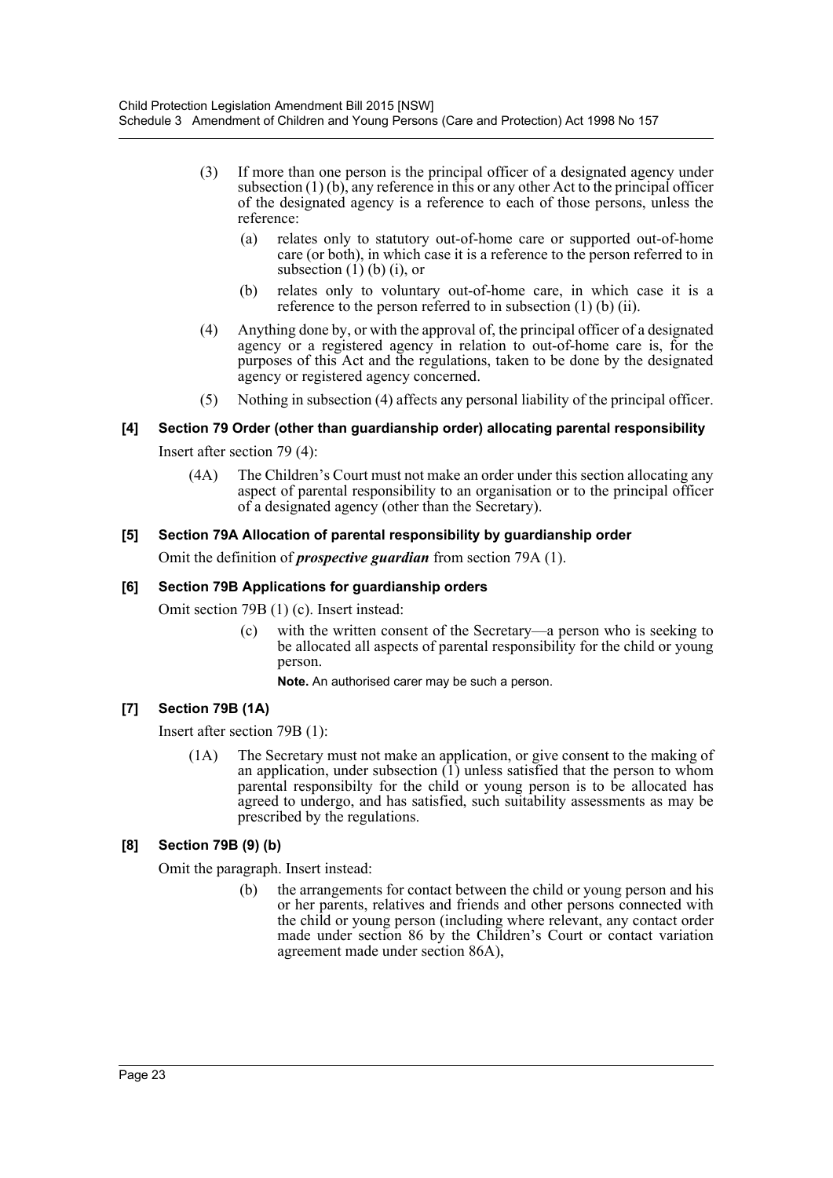- (3) If more than one person is the principal officer of a designated agency under subsection  $(1)$  (b), any reference in this or any other Act to the principal officer of the designated agency is a reference to each of those persons, unless the reference:
	- (a) relates only to statutory out-of-home care or supported out-of-home care (or both), in which case it is a reference to the person referred to in subsection  $(1)$  (b)  $(i)$ , or
	- (b) relates only to voluntary out-of-home care, in which case it is a reference to the person referred to in subsection (1) (b) (ii).
- (4) Anything done by, or with the approval of, the principal officer of a designated agency or a registered agency in relation to out-of-home care is, for the purposes of this Act and the regulations, taken to be done by the designated agency or registered agency concerned.
- (5) Nothing in subsection (4) affects any personal liability of the principal officer.

### **[4] Section 79 Order (other than guardianship order) allocating parental responsibility**

Insert after section 79 (4):

(4A) The Children's Court must not make an order under this section allocating any aspect of parental responsibility to an organisation or to the principal officer of a designated agency (other than the Secretary).

### **[5] Section 79A Allocation of parental responsibility by guardianship order**

Omit the definition of *prospective guardian* from section 79A (1).

### **[6] Section 79B Applications for guardianship orders**

Omit section 79B (1) (c). Insert instead:

(c) with the written consent of the Secretary—a person who is seeking to be allocated all aspects of parental responsibility for the child or young person.

**Note.** An authorised carer may be such a person.

### **[7] Section 79B (1A)**

Insert after section 79B (1):

(1A) The Secretary must not make an application, or give consent to the making of an application, under subsection  $(1)$  unless satisfied that the person to whom parental responsibilty for the child or young person is to be allocated has agreed to undergo, and has satisfied, such suitability assessments as may be prescribed by the regulations.

### **[8] Section 79B (9) (b)**

Omit the paragraph. Insert instead:

(b) the arrangements for contact between the child or young person and his or her parents, relatives and friends and other persons connected with the child or young person (including where relevant, any contact order made under section 86 by the Children's Court or contact variation agreement made under section 86A),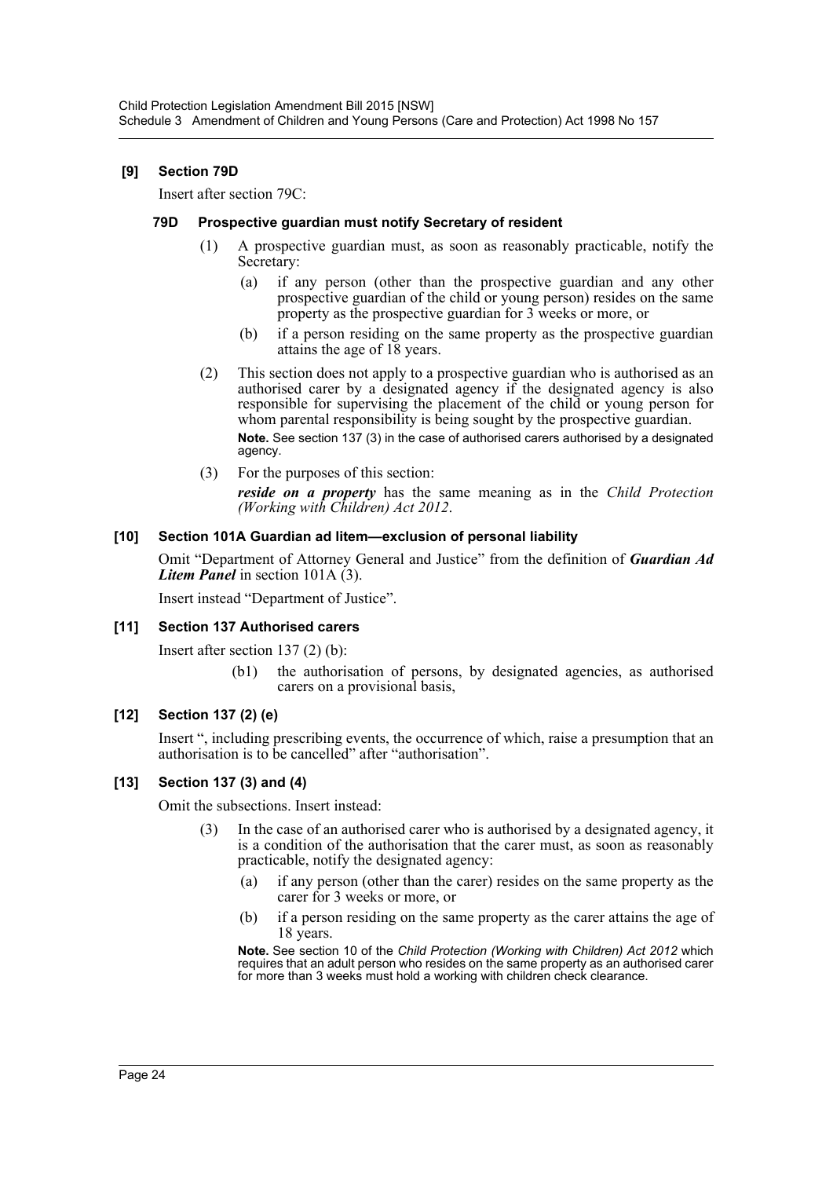### **[9] Section 79D**

Insert after section 79C:

### **79D Prospective guardian must notify Secretary of resident**

- (1) A prospective guardian must, as soon as reasonably practicable, notify the Secretary:
	- (a) if any person (other than the prospective guardian and any other prospective guardian of the child or young person) resides on the same property as the prospective guardian for 3 weeks or more, or
	- (b) if a person residing on the same property as the prospective guardian attains the age of 18 years.
- (2) This section does not apply to a prospective guardian who is authorised as an authorised carer by a designated agency if the designated agency is also responsible for supervising the placement of the child or young person for whom parental responsibility is being sought by the prospective guardian. **Note.** See section 137 (3) in the case of authorised carers authorised by a designated agency.
- (3) For the purposes of this section:

*reside on a property* has the same meaning as in the *Child Protection (Working with Children) Act 2012*.

### **[10] Section 101A Guardian ad litem—exclusion of personal liability**

Omit "Department of Attorney General and Justice" from the definition of *Guardian Ad Litem Panel* in section 101A (3).

Insert instead "Department of Justice".

#### **[11] Section 137 Authorised carers**

Insert after section 137 (2) (b):

(b1) the authorisation of persons, by designated agencies, as authorised carers on a provisional basis,

### **[12] Section 137 (2) (e)**

Insert ", including prescribing events, the occurrence of which, raise a presumption that an authorisation is to be cancelled" after "authorisation".

### **[13] Section 137 (3) and (4)**

Omit the subsections. Insert instead:

- In the case of an authorised carer who is authorised by a designated agency, it is a condition of the authorisation that the carer must, as soon as reasonably practicable, notify the designated agency:
	- (a) if any person (other than the carer) resides on the same property as the carer for 3 weeks or more, or
	- (b) if a person residing on the same property as the carer attains the age of 18 years.

**Note.** See section 10 of the *Child Protection (Working with Children) Act 2012* which requires that an adult person who resides on the same property as an authorised carer for more than 3 weeks must hold a working with children check clearance.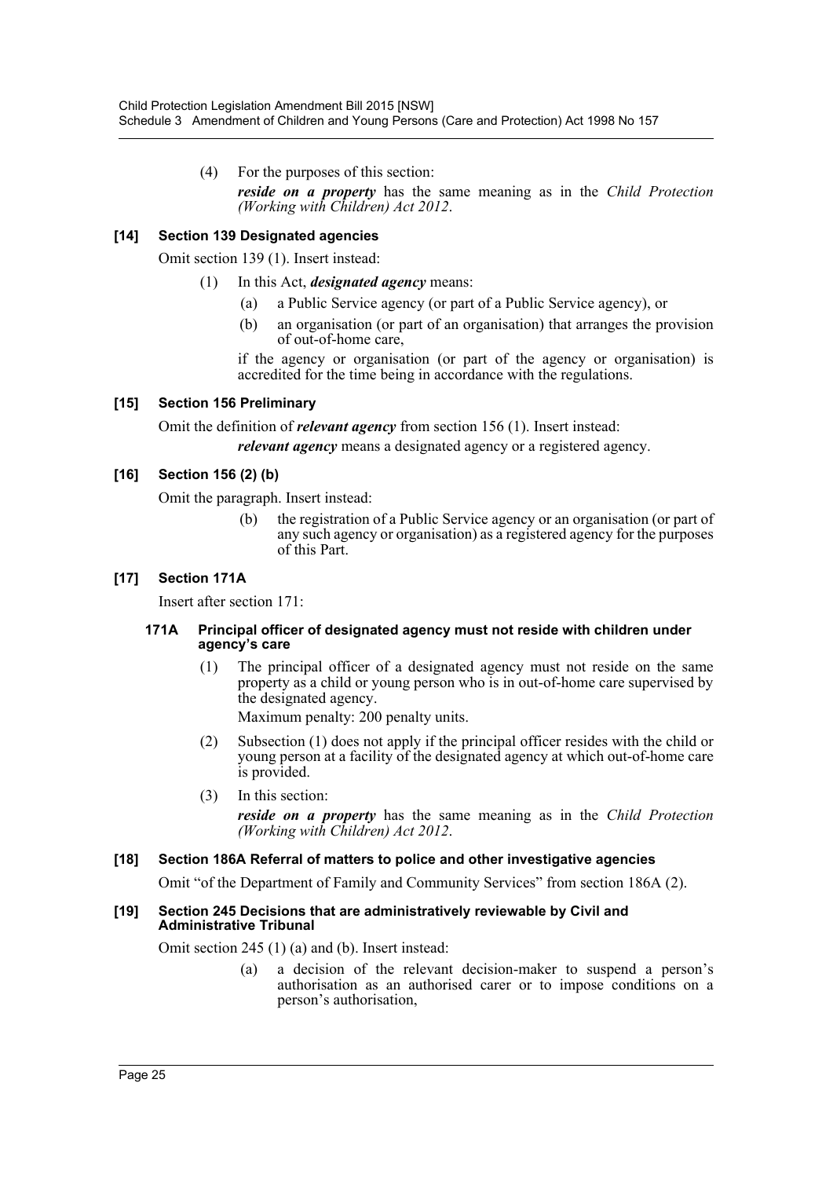(4) For the purposes of this section: *reside on a property* has the same meaning as in the *Child Protection (Working with Children) Act 2012*.

### **[14] Section 139 Designated agencies**

Omit section 139 (1). Insert instead:

- (1) In this Act, *designated agency* means:
	- (a) a Public Service agency (or part of a Public Service agency), or
	- (b) an organisation (or part of an organisation) that arranges the provision of out-of-home care,

if the agency or organisation (or part of the agency or organisation) is accredited for the time being in accordance with the regulations.

### **[15] Section 156 Preliminary**

Omit the definition of *relevant agency* from section 156 (1). Insert instead: *relevant agency* means a designated agency or a registered agency.

### **[16] Section 156 (2) (b)**

Omit the paragraph. Insert instead:

(b) the registration of a Public Service agency or an organisation (or part of any such agency or organisation) as a registered agency for the purposes of this Part.

### **[17] Section 171A**

Insert after section 171:

### **171A Principal officer of designated agency must not reside with children under agency's care**

(1) The principal officer of a designated agency must not reside on the same property as a child or young person who is in out-of-home care supervised by the designated agency.

Maximum penalty: 200 penalty units.

- (2) Subsection (1) does not apply if the principal officer resides with the child or young person at a facility of the designated agency at which out-of-home care is provided.
- (3) In this section: *reside on a property* has the same meaning as in the *Child Protection (Working with Children) Act 2012*.

### **[18] Section 186A Referral of matters to police and other investigative agencies**

Omit "of the Department of Family and Community Services" from section 186A (2).

### **[19] Section 245 Decisions that are administratively reviewable by Civil and Administrative Tribunal**

Omit section 245 (1) (a) and (b). Insert instead:

(a) a decision of the relevant decision-maker to suspend a person's authorisation as an authorised carer or to impose conditions on a person's authorisation,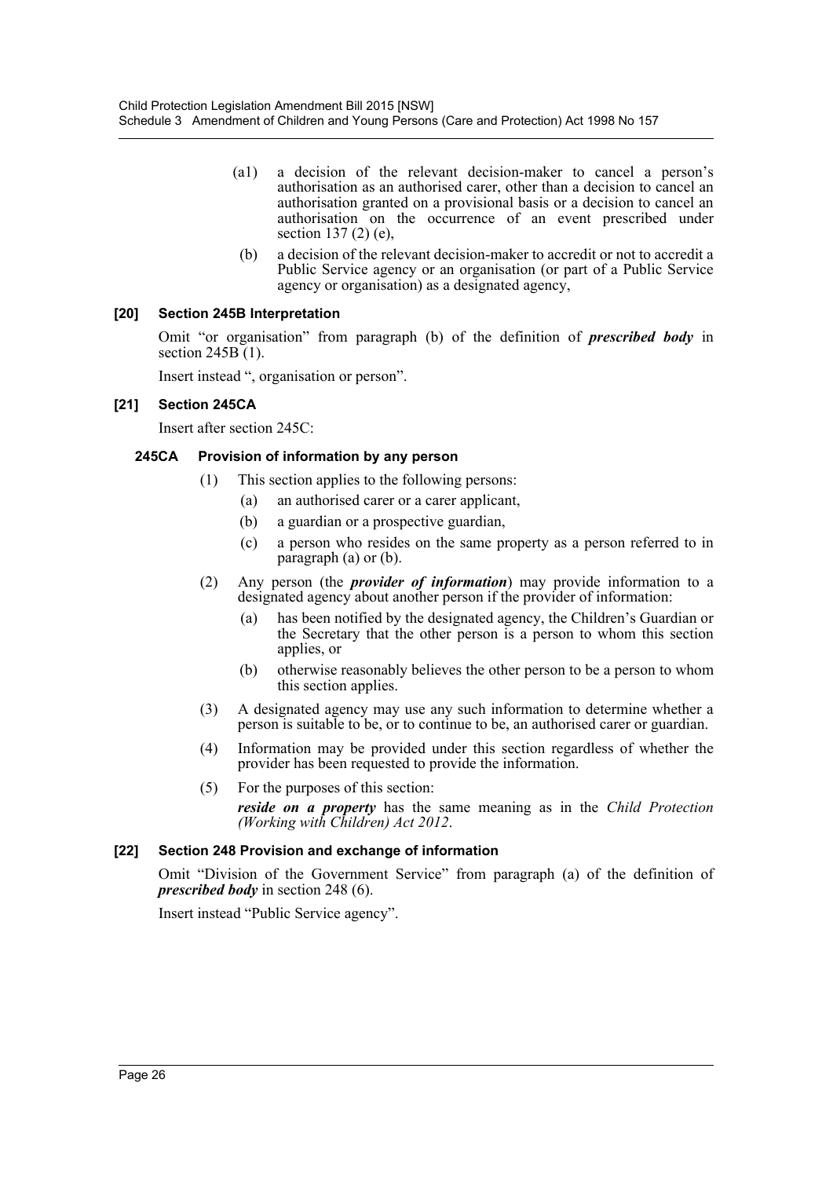- (a1) a decision of the relevant decision-maker to cancel a person's authorisation as an authorised carer, other than a decision to cancel an authorisation granted on a provisional basis or a decision to cancel an authorisation on the occurrence of an event prescribed under section 137 (2) (e),
- (b) a decision of the relevant decision-maker to accredit or not to accredit a Public Service agency or an organisation (or part of a Public Service agency or organisation) as a designated agency,

### **[20] Section 245B Interpretation**

Omit "or organisation" from paragraph (b) of the definition of *prescribed body* in section 245B (1).

Insert instead ", organisation or person".

### **[21] Section 245CA**

Insert after section 245C:

### **245CA Provision of information by any person**

- (1) This section applies to the following persons:
	- (a) an authorised carer or a carer applicant,
	- (b) a guardian or a prospective guardian,
	- (c) a person who resides on the same property as a person referred to in paragraph (a) or (b).
- (2) Any person (the *provider of information*) may provide information to a designated agency about another person if the provider of information:
	- (a) has been notified by the designated agency, the Children's Guardian or the Secretary that the other person is a person to whom this section applies, or
	- (b) otherwise reasonably believes the other person to be a person to whom this section applies.
- (3) A designated agency may use any such information to determine whether a person is suitable to be, or to continue to be, an authorised carer or guardian.
- (4) Information may be provided under this section regardless of whether the provider has been requested to provide the information.
- (5) For the purposes of this section: *reside on a property* has the same meaning as in the *Child Protection (Working with Children) Act 2012*.

### **[22] Section 248 Provision and exchange of information**

Omit "Division of the Government Service" from paragraph (a) of the definition of *prescribed body* in section 248 (6).

Insert instead "Public Service agency".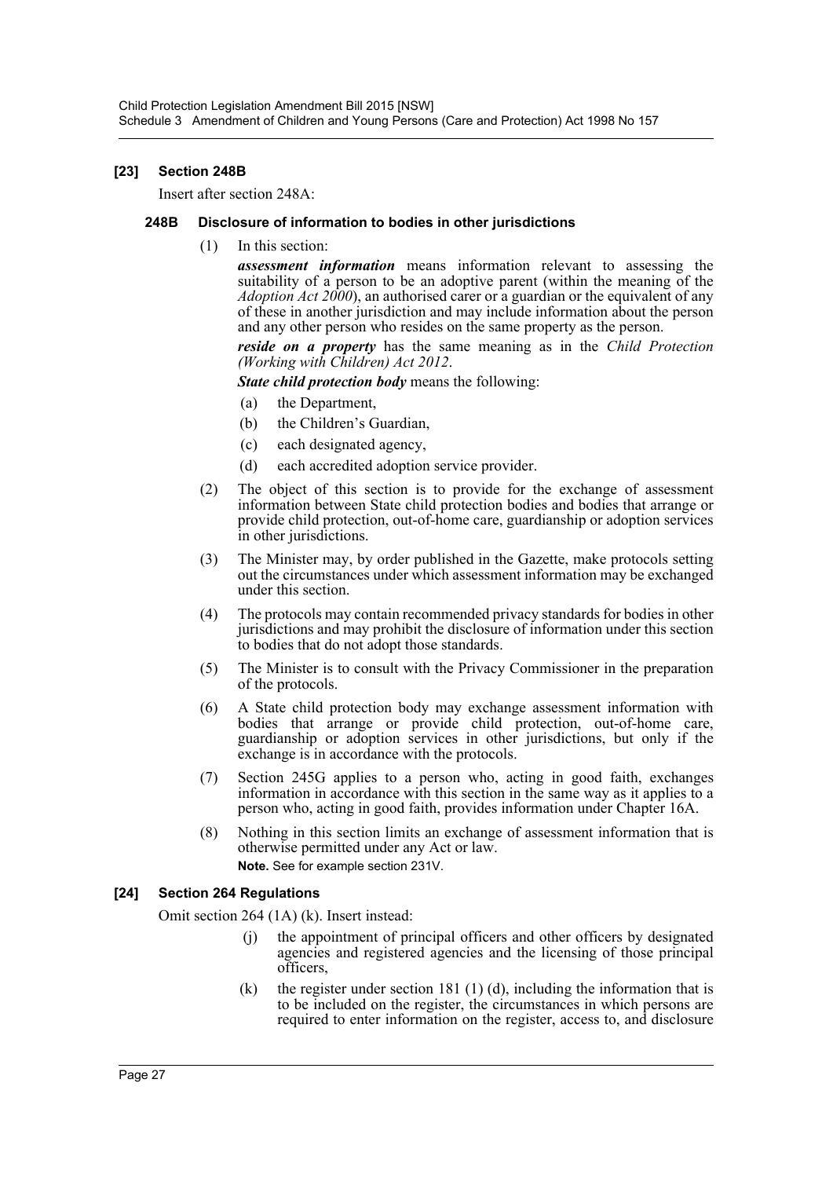### **[23] Section 248B**

Insert after section 248A:

### **248B Disclosure of information to bodies in other jurisdictions**

(1) In this section:

*assessment information* means information relevant to assessing the suitability of a person to be an adoptive parent (within the meaning of the *Adoption Act 2000*), an authorised carer or a guardian or the equivalent of any of these in another jurisdiction and may include information about the person and any other person who resides on the same property as the person.

*reside on a property* has the same meaning as in the *Child Protection (Working with Children) Act 2012*.

*State child protection body* means the following:

- (a) the Department,
- (b) the Children's Guardian,
- (c) each designated agency,
- (d) each accredited adoption service provider.
- (2) The object of this section is to provide for the exchange of assessment information between State child protection bodies and bodies that arrange or provide child protection, out-of-home care, guardianship or adoption services in other jurisdictions.
- (3) The Minister may, by order published in the Gazette, make protocols setting out the circumstances under which assessment information may be exchanged under this section.
- (4) The protocols may contain recommended privacy standards for bodies in other jurisdictions and may prohibit the disclosure of information under this section to bodies that do not adopt those standards.
- (5) The Minister is to consult with the Privacy Commissioner in the preparation of the protocols.
- (6) A State child protection body may exchange assessment information with bodies that arrange or provide child protection, out-of-home care, guardianship or adoption services in other jurisdictions, but only if the exchange is in accordance with the protocols.
- (7) Section 245G applies to a person who, acting in good faith, exchanges information in accordance with this section in the same way as it applies to a person who, acting in good faith, provides information under Chapter 16A.
- (8) Nothing in this section limits an exchange of assessment information that is otherwise permitted under any Act or law. **Note.** See for example section 231V.

### **[24] Section 264 Regulations**

Omit section 264 (1A) (k). Insert instead:

- (j) the appointment of principal officers and other officers by designated agencies and registered agencies and the licensing of those principal officers,
- (k) the register under section 181 (1) (d), including the information that is to be included on the register, the circumstances in which persons are required to enter information on the register, access to, and disclosure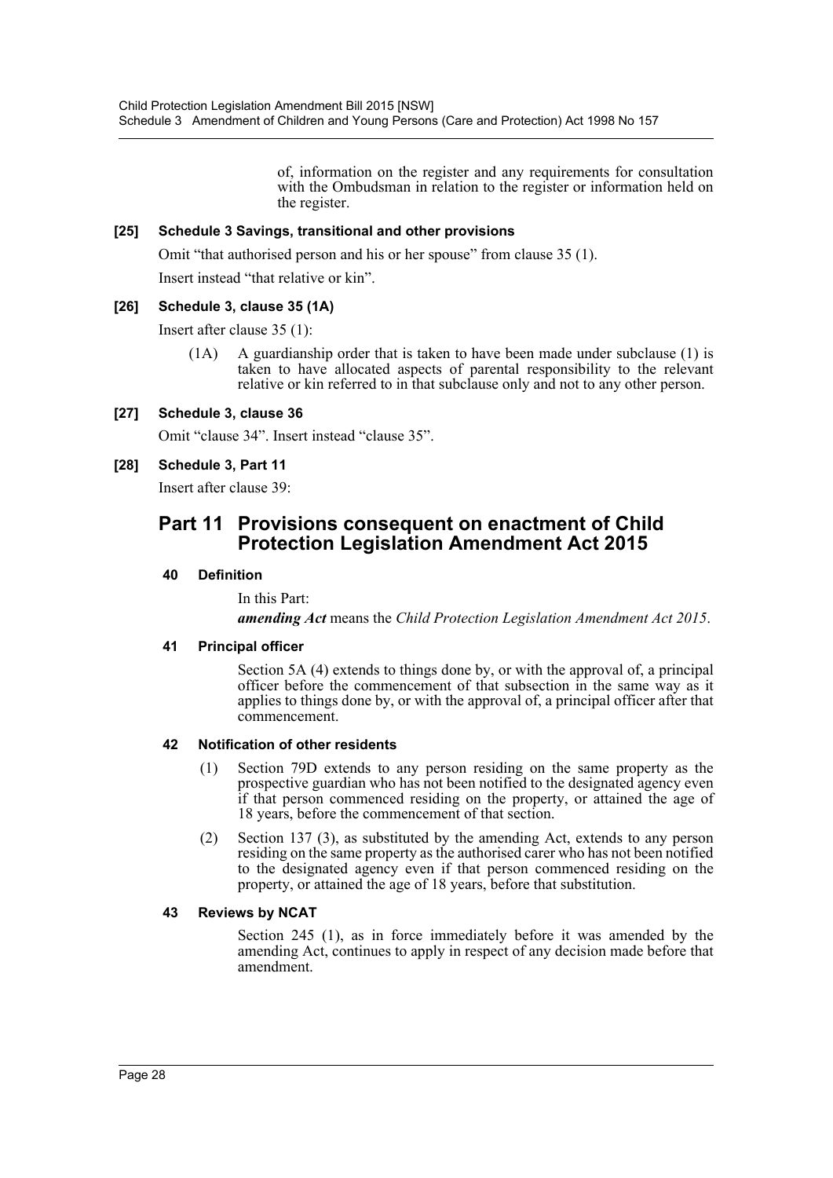of, information on the register and any requirements for consultation with the Ombudsman in relation to the register or information held on the register.

### **[25] Schedule 3 Savings, transitional and other provisions**

Omit "that authorised person and his or her spouse" from clause 35 (1).

Insert instead "that relative or kin".

### **[26] Schedule 3, clause 35 (1A)**

Insert after clause 35 (1):

(1A) A guardianship order that is taken to have been made under subclause (1) is taken to have allocated aspects of parental responsibility to the relevant relative or kin referred to in that subclause only and not to any other person.

### **[27] Schedule 3, clause 36**

Omit "clause 34". Insert instead "clause 35".

### **[28] Schedule 3, Part 11**

Insert after clause 39:

### **Part 11 Provisions consequent on enactment of Child Protection Legislation Amendment Act 2015**

### **40 Definition**

In this Part:

*amending Act* means the *Child Protection Legislation Amendment Act 2015*.

#### **41 Principal officer**

Section 5A (4) extends to things done by, or with the approval of, a principal officer before the commencement of that subsection in the same way as it applies to things done by, or with the approval of, a principal officer after that commencement.

### **42 Notification of other residents**

- (1) Section 79D extends to any person residing on the same property as the prospective guardian who has not been notified to the designated agency even if that person commenced residing on the property, or attained the age of 18 years, before the commencement of that section.
- (2) Section 137 (3), as substituted by the amending Act, extends to any person residing on the same property as the authorised carer who has not been notified to the designated agency even if that person commenced residing on the property, or attained the age of 18 years, before that substitution.

### **43 Reviews by NCAT**

Section 245 (1), as in force immediately before it was amended by the amending Act, continues to apply in respect of any decision made before that amendment.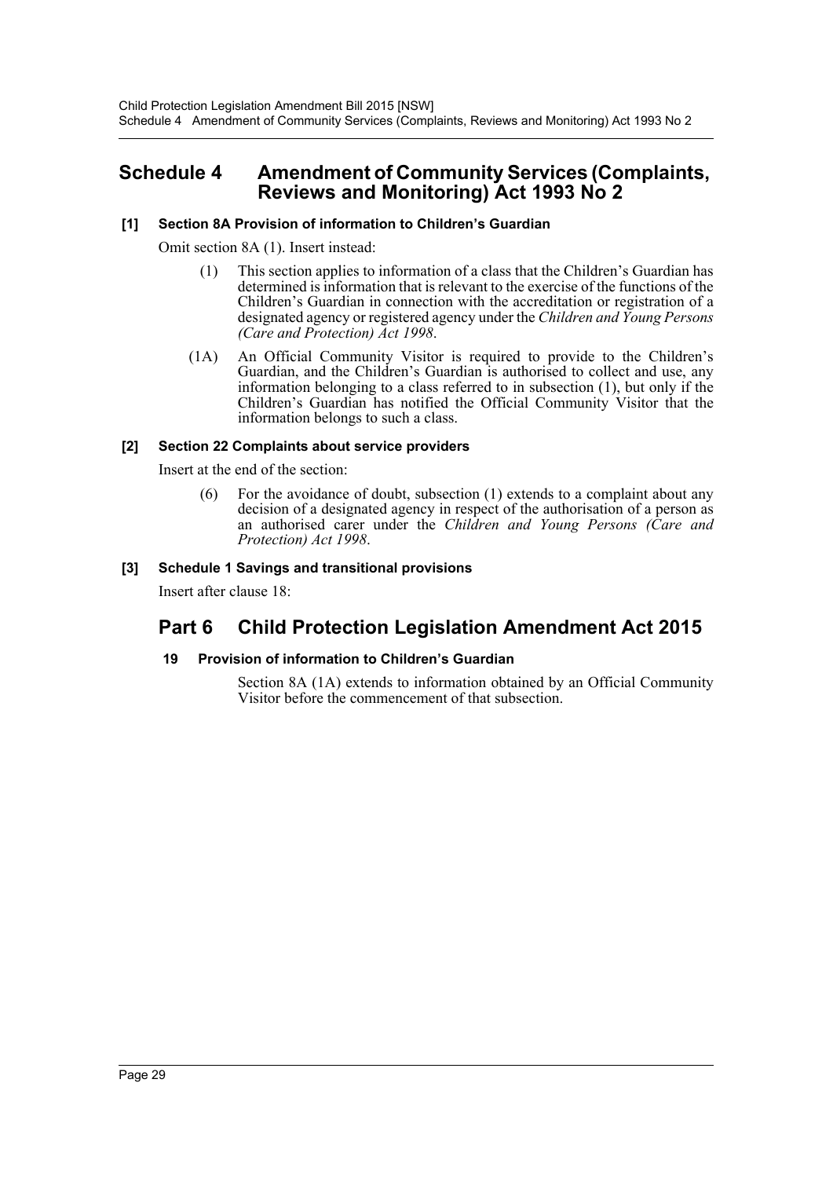### <span id="page-29-0"></span>**Schedule 4 Amendment of Community Services (Complaints, Reviews and Monitoring) Act 1993 No 2**

### **[1] Section 8A Provision of information to Children's Guardian**

Omit section 8A (1). Insert instead:

- (1) This section applies to information of a class that the Children's Guardian has determined is information that is relevant to the exercise of the functions of the Children's Guardian in connection with the accreditation or registration of a designated agency or registered agency under the *Children and Young Persons (Care and Protection) Act 1998*.
- (1A) An Official Community Visitor is required to provide to the Children's Guardian, and the Children's Guardian is authorised to collect and use, any information belonging to a class referred to in subsection (1), but only if the Children's Guardian has notified the Official Community Visitor that the information belongs to such a class.

### **[2] Section 22 Complaints about service providers**

Insert at the end of the section:

(6) For the avoidance of doubt, subsection (1) extends to a complaint about any decision of a designated agency in respect of the authorisation of a person as an authorised carer under the *Children and Young Persons (Care and Protection) Act 1998*.

### **[3] Schedule 1 Savings and transitional provisions**

Insert after clause 18:

## **Part 6 Child Protection Legislation Amendment Act 2015**

### **19 Provision of information to Children's Guardian**

Section 8A (1A) extends to information obtained by an Official Community Visitor before the commencement of that subsection.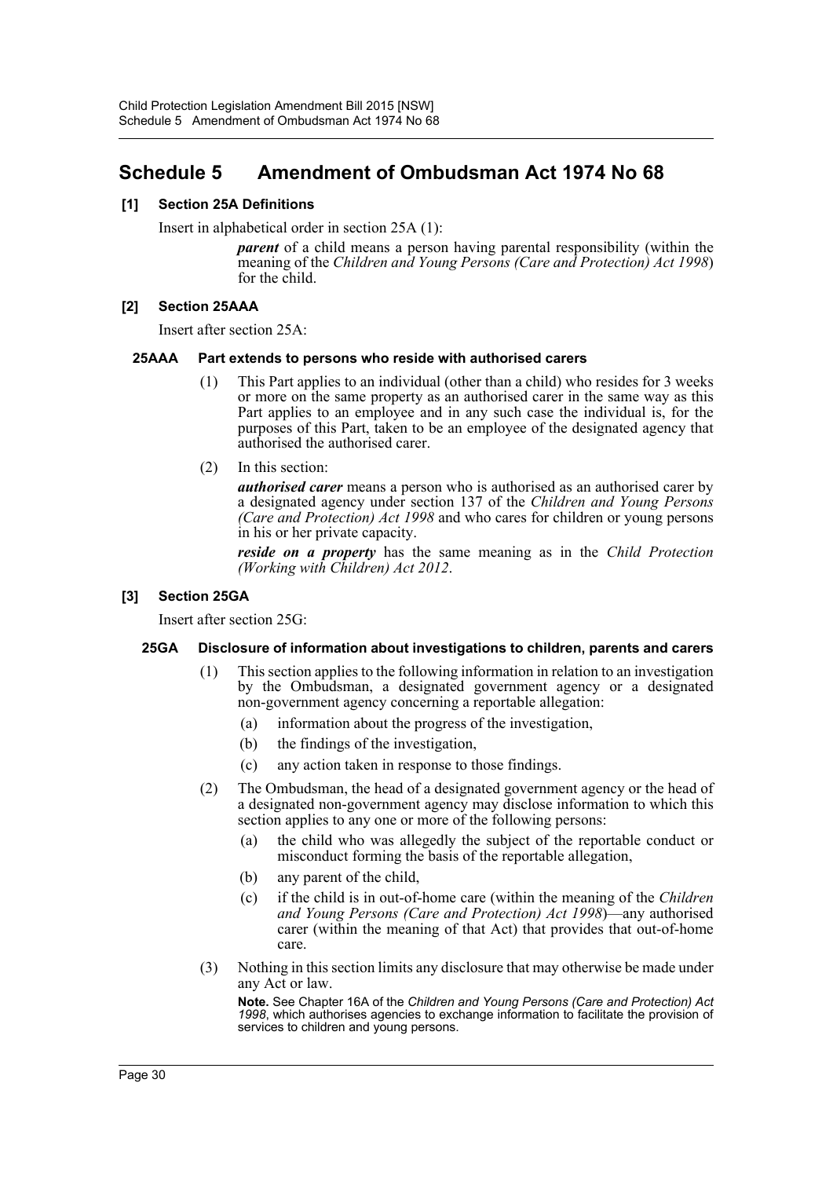## <span id="page-30-0"></span>**Schedule 5 Amendment of Ombudsman Act 1974 No 68**

### **[1] Section 25A Definitions**

Insert in alphabetical order in section 25A (1):

*parent* of a child means a person having parental responsibility (within the meaning of the *Children and Young Persons (Care and Protection) Act 1998*) for the child.

### **[2] Section 25AAA**

Insert after section 25A:

### **25AAA Part extends to persons who reside with authorised carers**

- (1) This Part applies to an individual (other than a child) who resides for 3 weeks or more on the same property as an authorised carer in the same way as this Part applies to an employee and in any such case the individual is, for the purposes of this Part, taken to be an employee of the designated agency that authorised the authorised carer.
- (2) In this section:

*authorised carer* means a person who is authorised as an authorised carer by a designated agency under section 137 of the *Children and Young Persons (Care and Protection) Act 1998* and who cares for children or young persons in his or her private capacity.

*reside on a property* has the same meaning as in the *Child Protection (Working with Children) Act 2012*.

### **[3] Section 25GA**

Insert after section 25G:

### **25GA Disclosure of information about investigations to children, parents and carers**

- (1) This section applies to the following information in relation to an investigation by the Ombudsman, a designated government agency or a designated non-government agency concerning a reportable allegation:
	- (a) information about the progress of the investigation,
	- (b) the findings of the investigation,
	- (c) any action taken in response to those findings.
- (2) The Ombudsman, the head of a designated government agency or the head of a designated non-government agency may disclose information to which this section applies to any one or more of the following persons:
	- (a) the child who was allegedly the subject of the reportable conduct or misconduct forming the basis of the reportable allegation,
	- (b) any parent of the child,
	- (c) if the child is in out-of-home care (within the meaning of the *Children and Young Persons (Care and Protection) Act 1998*)—any authorised carer (within the meaning of that Act) that provides that out-of-home care.
- (3) Nothing in this section limits any disclosure that may otherwise be made under any Act or law.

**Note.** See Chapter 16A of the *Children and Young Persons (Care and Protection) Act 1998*, which authorises agencies to exchange information to facilitate the provision of services to children and young persons.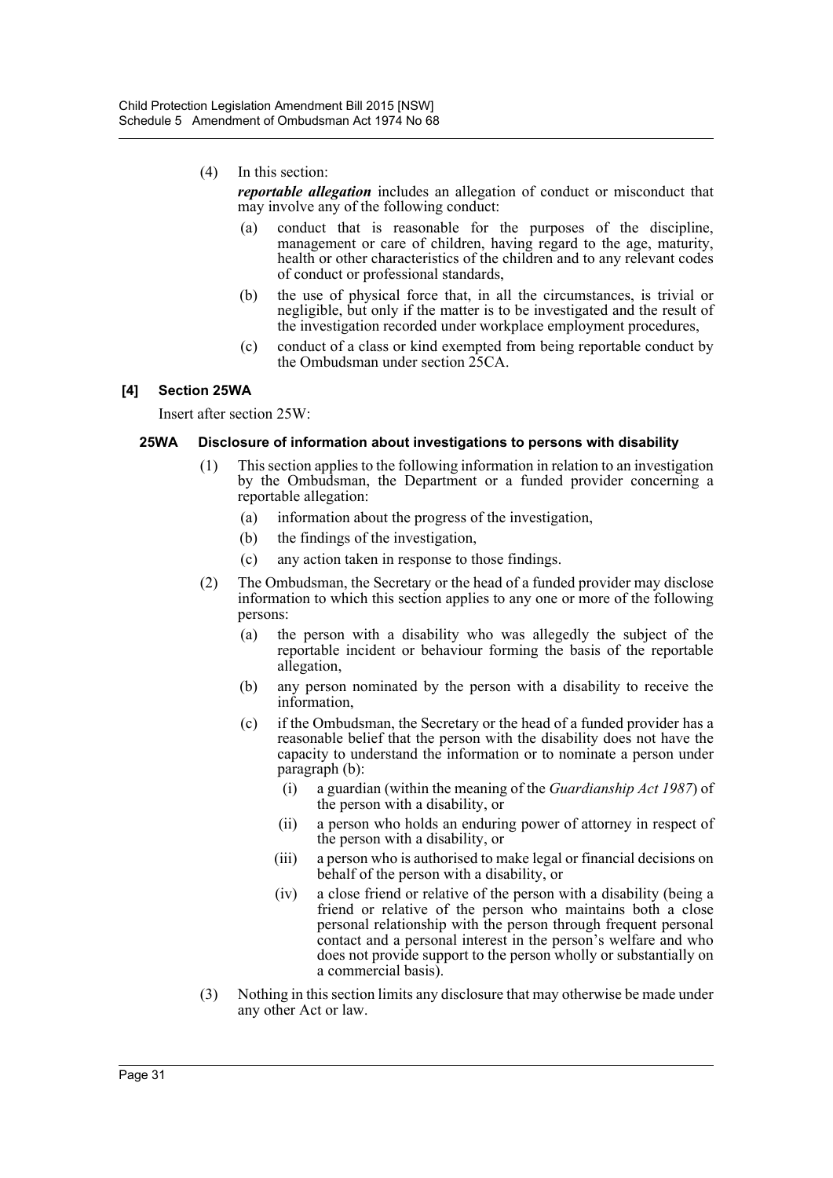### (4) In this section:

*reportable allegation* includes an allegation of conduct or misconduct that may involve any of the following conduct:

- (a) conduct that is reasonable for the purposes of the discipline, management or care of children, having regard to the age, maturity, health or other characteristics of the children and to any relevant codes of conduct or professional standards,
- (b) the use of physical force that, in all the circumstances, is trivial or negligible, but only if the matter is to be investigated and the result of the investigation recorded under workplace employment procedures,
- (c) conduct of a class or kind exempted from being reportable conduct by the Ombudsman under section 25CA.

### **[4] Section 25WA**

Insert after section 25W:

### **25WA Disclosure of information about investigations to persons with disability**

- (1) This section applies to the following information in relation to an investigation by the Ombudsman, the Department or a funded provider concerning a reportable allegation:
	- (a) information about the progress of the investigation,
	- (b) the findings of the investigation,
	- (c) any action taken in response to those findings.
- (2) The Ombudsman, the Secretary or the head of a funded provider may disclose information to which this section applies to any one or more of the following persons:
	- (a) the person with a disability who was allegedly the subject of the reportable incident or behaviour forming the basis of the reportable allegation,
	- (b) any person nominated by the person with a disability to receive the information,
	- (c) if the Ombudsman, the Secretary or the head of a funded provider has a reasonable belief that the person with the disability does not have the capacity to understand the information or to nominate a person under paragraph (b):
		- (i) a guardian (within the meaning of the *Guardianship Act 1987*) of the person with a disability, or
		- (ii) a person who holds an enduring power of attorney in respect of the person with a disability, or
		- (iii) a person who is authorised to make legal or financial decisions on behalf of the person with a disability, or
		- (iv) a close friend or relative of the person with a disability (being a friend or relative of the person who maintains both a close personal relationship with the person through frequent personal contact and a personal interest in the person's welfare and who does not provide support to the person wholly or substantially on a commercial basis).
- (3) Nothing in this section limits any disclosure that may otherwise be made under any other Act or law.